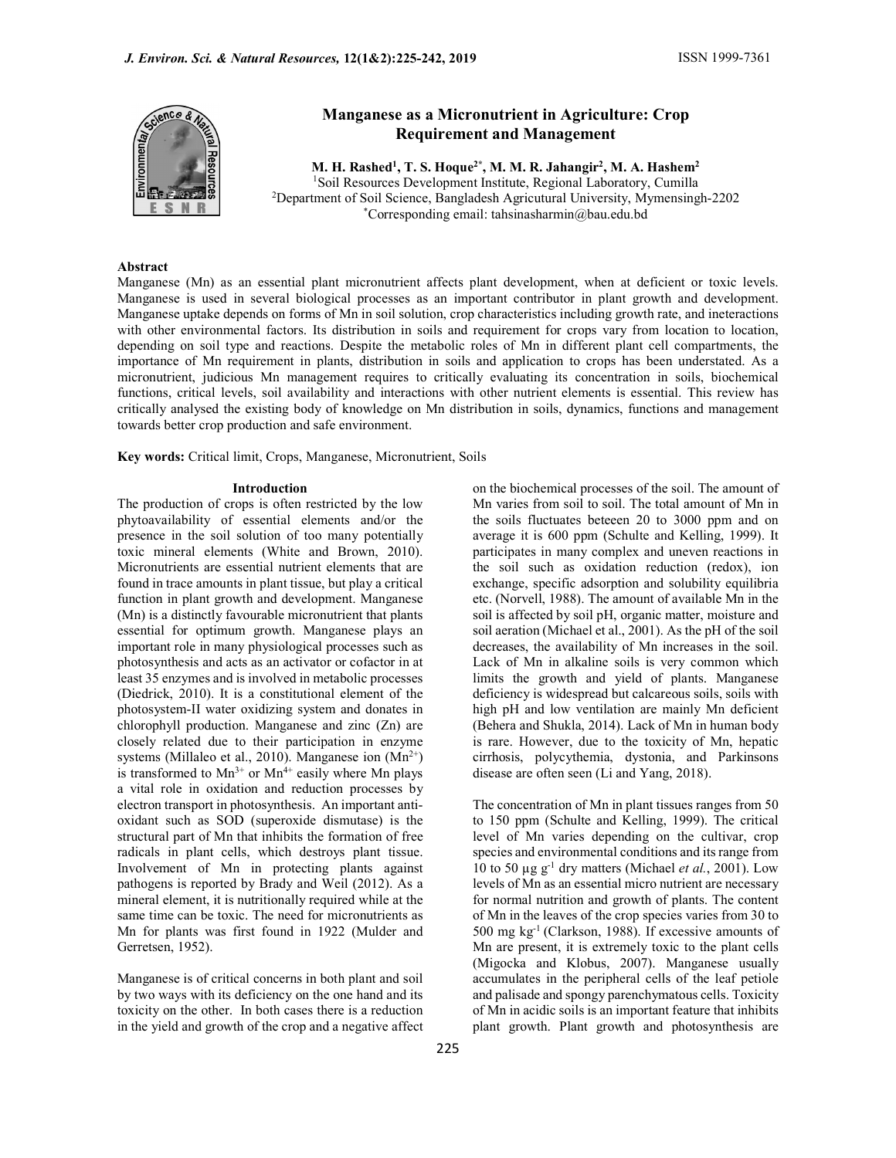

# Manganese as a Micronutrient in Agriculture: Crop Requirement and Management

M. H. Rashed<sup>1</sup>, T. S. Hoque<sup>2\*</sup>, M. M. R. Jahangir<sup>2</sup>, M. A. Hashem<sup>2</sup> 1Soil Resources Development Institute, Regional Laboratory, Cumilla 2Department of Soil Science, Bangladesh Agricutural University, Mymensingh-2202 \*Corresponding email: tahsinasharmin@bau.edu.bd

# Abstract

Manganese (Mn) as an essential plant micronutrient affects plant development, when at deficient or toxic levels. Manganese is used in several biological processes as an important contributor in plant growth and development. Manganese uptake depends on forms of Mn in soil solution, crop characteristics including growth rate, and ineteractions with other environmental factors. Its distribution in soils and requirement for crops vary from location to location, depending on soil type and reactions. Despite the metabolic roles of Mn in different plant cell compartments, the importance of Mn requirement in plants, distribution in soils and application to crops has been understated. As a micronutrient, judicious Mn management requires to critically evaluating its concentration in soils, biochemical functions, critical levels, soil availability and interactions with other nutrient elements is essential. This review has critically analysed the existing body of knowledge on Mn distribution in soils, dynamics, functions and management towards better crop production and safe environment.

Key words: Critical limit, Crops, Manganese, Micronutrient, Soils

#### Introduction

The production of crops is often restricted by the low phytoavailability of essential elements and/or the presence in the soil solution of too many potentially toxic mineral elements (White and Brown, 2010). Micronutrients are essential nutrient elements that are found in trace amounts in plant tissue, but play a critical function in plant growth and development. Manganese (Mn) is a distinctly favourable micronutrient that plants essential for optimum growth. Manganese plays an important role in many physiological processes such as photosynthesis and acts as an activator or cofactor in at least 35 enzymes and is involved in metabolic processes (Diedrick, 2010). It is a constitutional element of the photosystem-II water oxidizing system and donates in chlorophyll production. Manganese and zinc (Zn) are closely related due to their participation in enzyme systems (Millaleo et al., 2010). Manganese ion  $(Mn^{2+})$ is transformed to  $Mn^{3+}$  or  $Mn^{4+}$  easily where Mn plays a vital role in oxidation and reduction processes by electron transport in photosynthesis. An important antioxidant such as SOD (superoxide dismutase) is the structural part of Mn that inhibits the formation of free radicals in plant cells, which destroys plant tissue. Involvement of Mn in protecting plants against pathogens is reported by Brady and Weil (2012). As a mineral element, it is nutritionally required while at the same time can be toxic. The need for micronutrients as Mn for plants was first found in 1922 (Mulder and Gerretsen, 1952).

Manganese is of critical concerns in both plant and soil by two ways with its deficiency on the one hand and its toxicity on the other. In both cases there is a reduction in the yield and growth of the crop and a negative affect on the biochemical processes of the soil. The amount of Mn varies from soil to soil. The total amount of Mn in the soils fluctuates beteeen 20 to 3000 ppm and on average it is 600 ppm (Schulte and Kelling, 1999). It participates in many complex and uneven reactions in the soil such as oxidation reduction (redox), ion exchange, specific adsorption and solubility equilibria etc. (Norvell, 1988). The amount of available Mn in the soil is affected by soil pH, organic matter, moisture and soil aeration (Michael et al., 2001). As the pH of the soil decreases, the availability of Mn increases in the soil. Lack of Mn in alkaline soils is very common which limits the growth and yield of plants. Manganese deficiency is widespread but calcareous soils, soils with high pH and low ventilation are mainly Mn deficient (Behera and Shukla, 2014). Lack of Mn in human body is rare. However, due to the toxicity of Mn, hepatic cirrhosis, polycythemia, dystonia, and Parkinsons disease are often seen (Li and Yang, 2018).

The concentration of Mn in plant tissues ranges from 50 to 150 ppm (Schulte and Kelling, 1999). The critical level of Mn varies depending on the cultivar, crop species and environmental conditions and its range from 10 to 50  $\mu$ g g<sup>-1</sup> dry matters (Michael et al., 2001). Low levels of Mn as an essential micro nutrient are necessary for normal nutrition and growth of plants. The content of Mn in the leaves of the crop species varies from 30 to 500 mg kg-1 (Clarkson, 1988). If excessive amounts of Mn are present, it is extremely toxic to the plant cells (Migocka and Klobus, 2007). Manganese usually accumulates in the peripheral cells of the leaf petiole and palisade and spongy parenchymatous cells. Toxicity of Mn in acidic soils is an important feature that inhibits plant growth. Plant growth and photosynthesis are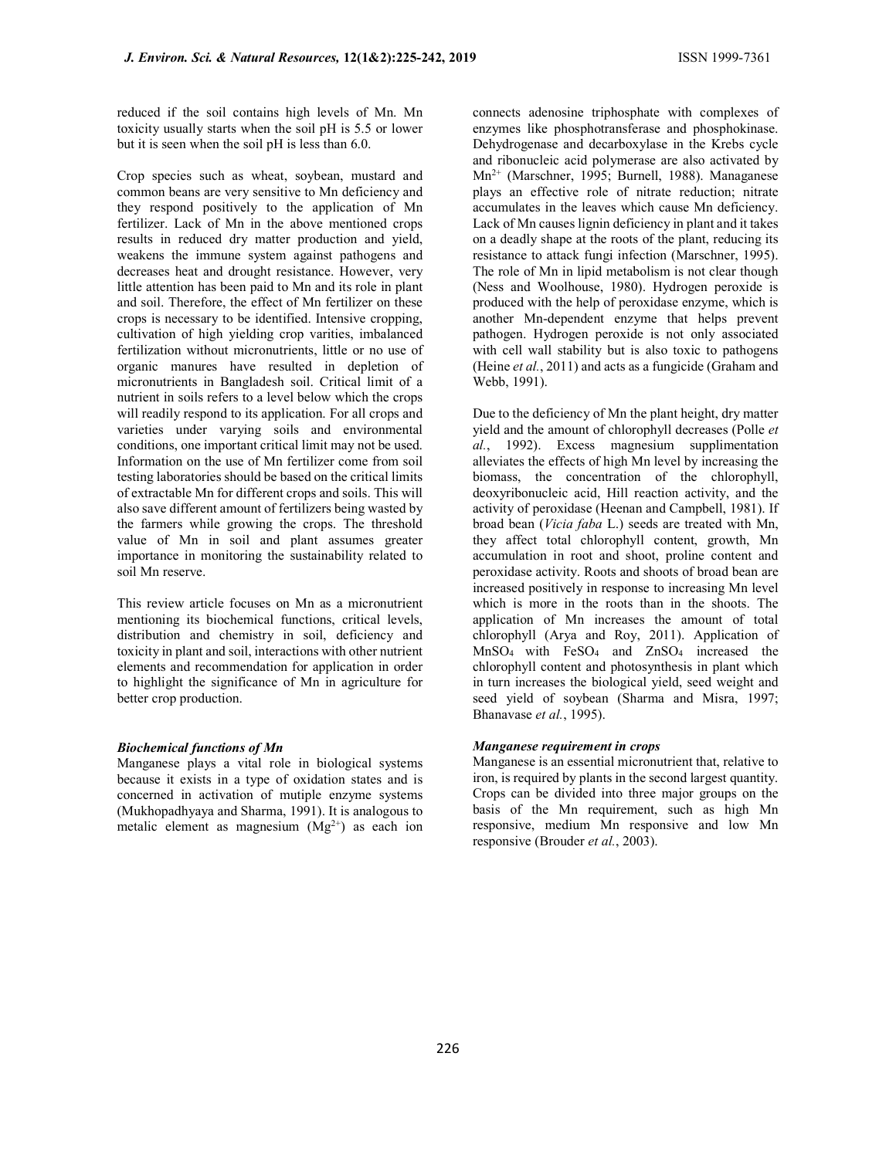reduced if the soil contains high levels of Mn. Mn toxicity usually starts when the soil pH is 5.5 or lower but it is seen when the soil pH is less than 6.0.

Crop species such as wheat, soybean, mustard and common beans are very sensitive to Mn deficiency and they respond positively to the application of Mn fertilizer. Lack of Mn in the above mentioned crops results in reduced dry matter production and yield, weakens the immune system against pathogens and decreases heat and drought resistance. However, very little attention has been paid to Mn and its role in plant and soil. Therefore, the effect of Mn fertilizer on these crops is necessary to be identified. Intensive cropping, cultivation of high yielding crop varities, imbalanced fertilization without micronutrients, little or no use of organic manures have resulted in depletion of micronutrients in Bangladesh soil. Critical limit of a nutrient in soils refers to a level below which the crops will readily respond to its application. For all crops and varieties under varying soils and environmental conditions, one important critical limit may not be used. Information on the use of Mn fertilizer come from soil testing laboratories should be based on the critical limits of extractable Mn for different crops and soils. This will also save different amount of fertilizers being wasted by the farmers while growing the crops. The threshold value of Mn in soil and plant assumes greater importance in monitoring the sustainability related to soil Mn reserve.

This review article focuses on Mn as a micronutrient mentioning its biochemical functions, critical levels, distribution and chemistry in soil, deficiency and toxicity in plant and soil, interactions with other nutrient elements and recommendation for application in order to highlight the significance of Mn in agriculture for better crop production.

# Biochemical functions of Mn

Manganese plays a vital role in biological systems because it exists in a type of oxidation states and is concerned in activation of mutiple enzyme systems (Mukhopadhyaya and Sharma, 1991). It is analogous to metalic element as magnesium  $(Mg^{2+})$  as each ion connects adenosine triphosphate with complexes of enzymes like phosphotransferase and phosphokinase. Dehydrogenase and decarboxylase in the Krebs cycle and ribonucleic acid polymerase are also activated by Mn2+ (Marschner, 1995; Burnell, 1988). Managanese plays an effective role of nitrate reduction; nitrate accumulates in the leaves which cause Mn deficiency. Lack of Mn causes lignin deficiency in plant and it takes on a deadly shape at the roots of the plant, reducing its resistance to attack fungi infection (Marschner, 1995). The role of Mn in lipid metabolism is not clear though (Ness and Woolhouse, 1980). Hydrogen peroxide is produced with the help of peroxidase enzyme, which is another Mn-dependent enzyme that helps prevent pathogen. Hydrogen peroxide is not only associated with cell wall stability but is also toxic to pathogens (Heine et al., 2011) and acts as a fungicide (Graham and Webb, 1991).

Due to the deficiency of Mn the plant height, dry matter yield and the amount of chlorophyll decreases (Polle et al., 1992). Excess magnesium supplimentation alleviates the effects of high Mn level by increasing the biomass, the concentration of the chlorophyll, deoxyribonucleic acid, Hill reaction activity, and the activity of peroxidase (Heenan and Campbell, 1981). If broad bean (Vicia faba L.) seeds are treated with Mn, they affect total chlorophyll content, growth, Mn accumulation in root and shoot, proline content and peroxidase activity. Roots and shoots of broad bean are increased positively in response to increasing Mn level which is more in the roots than in the shoots. The application of Mn increases the amount of total chlorophyll (Arya and Roy, 2011). Application of MnSO4 with FeSO4 and ZnSO4 increased the chlorophyll content and photosynthesis in plant which in turn increases the biological yield, seed weight and seed yield of soybean (Sharma and Misra, 1997; Bhanavase et al., 1995).

# Manganese requirement in crops

Manganese is an essential micronutrient that, relative to iron, is required by plants in the second largest quantity. Crops can be divided into three major groups on the basis of the Mn requirement, such as high Mn responsive, medium Mn responsive and low Mn responsive (Brouder et al., 2003).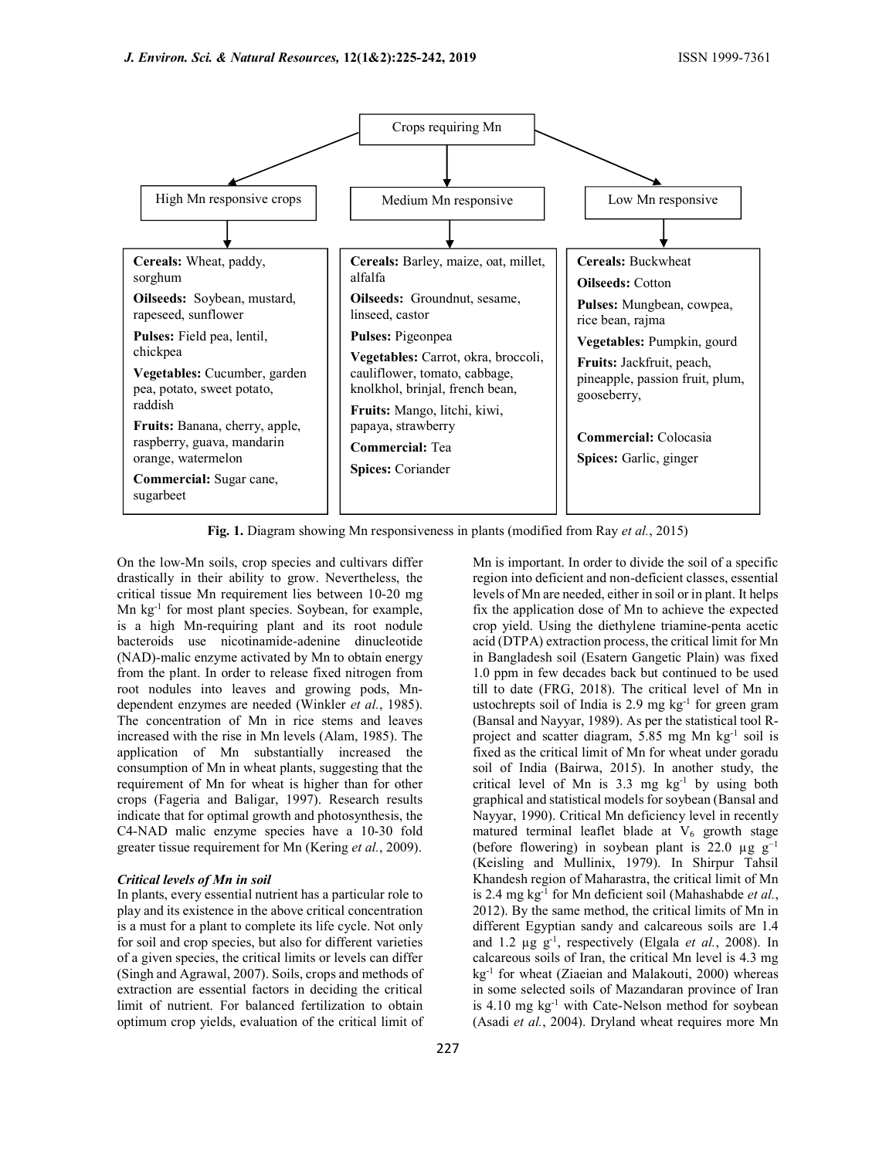

Fig. 1. Diagram showing Mn responsiveness in plants (modified from Ray et al., 2015)

On the low-Mn soils, crop species and cultivars differ drastically in their ability to grow. Nevertheless, the critical tissue Mn requirement lies between 10-20 mg Mn kg-1 for most plant species. Soybean, for example, is a high Mn-requiring plant and its root nodule bacteroids use nicotinamide-adenine dinucleotide (NAD)-malic enzyme activated by Mn to obtain energy from the plant. In order to release fixed nitrogen from root nodules into leaves and growing pods, Mndependent enzymes are needed (Winkler et al., 1985). The concentration of Mn in rice stems and leaves increased with the rise in Mn levels (Alam, 1985). The application of Mn substantially increased the consumption of Mn in wheat plants, suggesting that the requirement of Mn for wheat is higher than for other crops (Fageria and Baligar, 1997). Research results indicate that for optimal growth and photosynthesis, the C4-NAD malic enzyme species have a 10-30 fold greater tissue requirement for Mn (Kering et al., 2009).

### Critical levels of Mn in soil

In plants, every essential nutrient has a particular role to play and its existence in the above critical concentration is a must for a plant to complete its life cycle. Not only for soil and crop species, but also for different varieties of a given species, the critical limits or levels can differ (Singh and Agrawal, 2007). Soils, crops and methods of extraction are essential factors in deciding the critical limit of nutrient. For balanced fertilization to obtain optimum crop yields, evaluation of the critical limit of fixed as the critical limit of Mn for wheat under goradu soil of India (Bairwa, 2015). In another study, the critical level of Mn is  $3.3 \text{ mg} \text{ kg}^{-1}$  by using both graphical and statistical models for soybean (Bansal and Nayyar, 1990). Critical Mn deficiency level in recently matured terminal leaflet blade at  $V_6$  growth stage (before flowering) in soybean plant is 22.0  $\mu$ g g<sup>-1</sup> (Keisling and Mullinix, 1979). In Shirpur Tahsil Khandesh region of Maharastra, the critical limit of Mn is 2.4 mg  $kg^{-1}$  for Mn deficient soil (Mahashabde *et al.*, 2012). By the same method, the critical limits of Mn in different Egyptian sandy and calcareous soils are 1.4 and 1.2  $\mu$ g g<sup>-1</sup>, respectively (Elgala et al., 2008). In calcareous soils of Iran, the critical Mn level is 4.3 mg kg<sup>-1</sup> for wheat (Ziaeian and Malakouti, 2000) whereas in some selected soils of Mazandaran province of Iran is 4.10 mg kg<sup>-1</sup> with Cate-Nelson method for soybean (Asadi et al., 2004). Dryland wheat requires more Mn

Mn is important. In order to divide the soil of a specific region into deficient and non-deficient classes, essential levels of Mn are needed, either in soil or in plant. It helps fix the application dose of Mn to achieve the expected crop yield. Using the diethylene triamine-penta acetic acid (DTPA) extraction process, the critical limit for Mn in Bangladesh soil (Esatern Gangetic Plain) was fixed 1.0 ppm in few decades back but continued to be used till to date (FRG, 2018). The critical level of Mn in ustochrepts soil of India is  $2.9 \text{ mg kg}^{-1}$  for green gram (Bansal and Nayyar, 1989). As per the statistical tool Rproject and scatter diagram, 5.85 mg Mn kg-1 soil is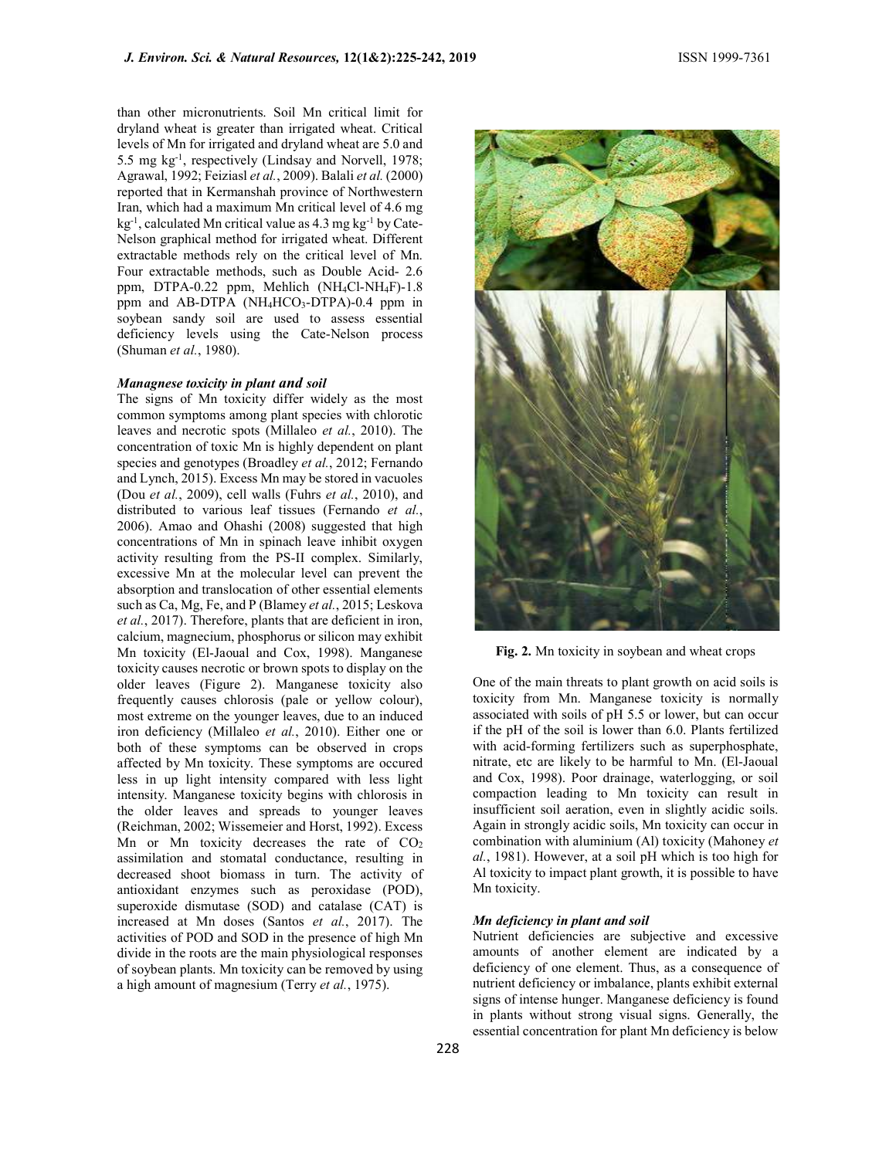than other micronutrients. Soil Mn critical limit for dryland wheat is greater than irrigated wheat. Critical levels of Mn for irrigated and dryland wheat are 5.0 and 5.5 mg kg-1, respectively (Lindsay and Norvell, 1978; Agrawal, 1992; Feiziasl et al., 2009). Balali et al. (2000) reported that in Kermanshah province of Northwestern Iran, which had a maximum Mn critical level of 4.6 mg  $kg^{-1}$ , calculated Mn critical value as 4.3 mg kg<sup>-1</sup> by Cate-Nelson graphical method for irrigated wheat. Different extractable methods rely on the critical level of Mn. Four extractable methods, such as Double Acid- 2.6 ppm, DTPA-0.22 ppm, Mehlich (NH4Cl-NH4F)-1.8 ppm and AB-DTPA (NH<sub>4</sub>HCO<sub>3</sub>-DTPA)-0.4 ppm in soybean sandy soil are used to assess essential deficiency levels using the Cate-Nelson process (Shuman et al., 1980).

### Managnese toxicity in plant and soil

The signs of Mn toxicity differ widely as the most common symptoms among plant species with chlorotic leaves and necrotic spots (Millaleo et al., 2010). The concentration of toxic Mn is highly dependent on plant species and genotypes (Broadley *et al.*, 2012; Fernando and Lynch, 2015). Excess Mn may be stored in vacuoles (Dou et al., 2009), cell walls (Fuhrs et al., 2010), and distributed to various leaf tissues (Fernando et al., 2006). Amao and Ohashi (2008) suggested that high concentrations of Mn in spinach leave inhibit oxygen activity resulting from the PS-II complex. Similarly, excessive Mn at the molecular level can prevent the absorption and translocation of other essential elements such as Ca, Mg, Fe, and P (Blamey et al., 2015; Leskova et al., 2017). Therefore, plants that are deficient in iron, calcium, magnecium, phosphorus or silicon may exhibit Mn toxicity (El-Jaoual and Cox, 1998). Manganese toxicity causes necrotic or brown spots to display on the older leaves (Figure 2). Manganese toxicity also frequently causes chlorosis (pale or yellow colour), most extreme on the younger leaves, due to an induced iron deficiency (Millaleo et al., 2010). Either one or both of these symptoms can be observed in crops affected by Mn toxicity. These symptoms are occured less in up light intensity compared with less light intensity. Manganese toxicity begins with chlorosis in the older leaves and spreads to younger leaves (Reichman, 2002; Wissemeier and Horst, 1992). Excess Mn or Mn toxicity decreases the rate of  $CO<sub>2</sub>$ assimilation and stomatal conductance, resulting in decreased shoot biomass in turn. The activity of antioxidant enzymes such as peroxidase (POD), superoxide dismutase (SOD) and catalase (CAT) is increased at Mn doses (Santos et al., 2017). The activities of POD and SOD in the presence of high Mn divide in the roots are the main physiological responses of soybean plants. Mn toxicity can be removed by using a high amount of magnesium (Terry et al., 1975).



Fig. 2. Mn toxicity in soybean and wheat crops

One of the main threats to plant growth on acid soils is toxicity from Mn. Manganese toxicity is normally associated with soils of pH 5.5 or lower, but can occur if the pH of the soil is lower than 6.0. Plants fertilized with acid-forming fertilizers such as superphosphate, nitrate, etc are likely to be harmful to Mn. (El-Jaoual and Cox, 1998). Poor drainage, waterlogging, or soil compaction leading to Mn toxicity can result in insufficient soil aeration, even in slightly acidic soils. Again in strongly acidic soils, Mn toxicity can occur in combination with aluminium (Al) toxicity (Mahoney et al., 1981). However, at a soil pH which is too high for Al toxicity to impact plant growth, it is possible to have Mn toxicity.

#### Mn deficiency in plant and soil

Nutrient deficiencies are subjective and excessive amounts of another element are indicated by a deficiency of one element. Thus, as a consequence of nutrient deficiency or imbalance, plants exhibit external signs of intense hunger. Manganese deficiency is found in plants without strong visual signs. Generally, the essential concentration for plant Mn deficiency is below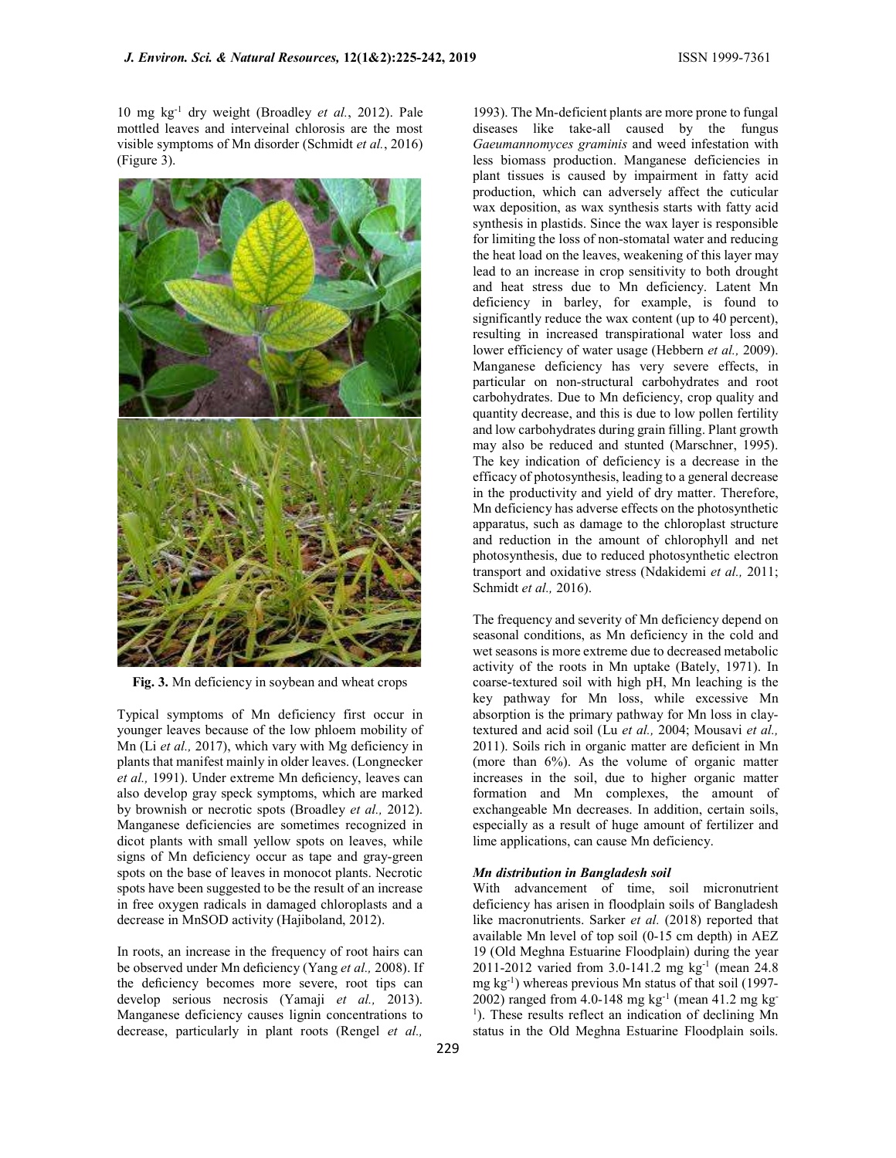10 mg kg-1 dry weight (Broadley et al., 2012). Pale mottled leaves and interveinal chlorosis are the most visible symptoms of Mn disorder (Schmidt et al., 2016) (Figure 3).



Fig. 3. Mn deficiency in soybean and wheat crops

Typical symptoms of Mn deficiency first occur in younger leaves because of the low phloem mobility of Mn (Li et al., 2017), which vary with Mg deficiency in plants that manifest mainly in older leaves. (Longnecker et al., 1991). Under extreme Mn deficiency, leaves can also develop gray speck symptoms, which are marked by brownish or necrotic spots (Broadley et al., 2012). Manganese deficiencies are sometimes recognized in dicot plants with small yellow spots on leaves, while signs of Mn deficiency occur as tape and gray-green spots on the base of leaves in monocot plants. Necrotic spots have been suggested to be the result of an increase in free oxygen radicals in damaged chloroplasts and a decrease in MnSOD activity (Hajiboland, 2012).

In roots, an increase in the frequency of root hairs can be observed under Mn deficiency (Yang et al., 2008). If the deficiency becomes more severe, root tips can develop serious necrosis (Yamaji et al., 2013). Manganese deficiency causes lignin concentrations to decrease, particularly in plant roots (Rengel et al.,

1993). The Mn-deficient plants are more prone to fungal diseases like take-all caused by the fungus Gaeumannomyces graminis and weed infestation with less biomass production. Manganese deficiencies in plant tissues is caused by impairment in fatty acid production, which can adversely affect the cuticular wax deposition, as wax synthesis starts with fatty acid synthesis in plastids. Since the wax layer is responsible for limiting the loss of non-stomatal water and reducing the heat load on the leaves, weakening of this layer may lead to an increase in crop sensitivity to both drought and heat stress due to Mn deficiency. Latent Mn deficiency in barley, for example, is found to significantly reduce the wax content (up to 40 percent), resulting in increased transpirational water loss and lower efficiency of water usage (Hebbern et al., 2009). Manganese deficiency has very severe effects, in particular on non-structural carbohydrates and root carbohydrates. Due to Mn deficiency, crop quality and quantity decrease, and this is due to low pollen fertility and low carbohydrates during grain filling. Plant growth may also be reduced and stunted (Marschner, 1995). The key indication of deficiency is a decrease in the efficacy of photosynthesis, leading to a general decrease in the productivity and yield of dry matter. Therefore, Mn deficiency has adverse effects on the photosynthetic apparatus, such as damage to the chloroplast structure and reduction in the amount of chlorophyll and net photosynthesis, due to reduced photosynthetic electron transport and oxidative stress (Ndakidemi et al., 2011; Schmidt et al., 2016).

The frequency and severity of Mn deficiency depend on seasonal conditions, as Mn deficiency in the cold and wet seasons is more extreme due to decreased metabolic activity of the roots in Mn uptake (Bately, 1971). In coarse-textured soil with high pH, Mn leaching is the key pathway for Mn loss, while excessive Mn absorption is the primary pathway for Mn loss in claytextured and acid soil (Lu et al., 2004; Mousavi et al., 2011). Soils rich in organic matter are deficient in Mn (more than 6%). As the volume of organic matter increases in the soil, due to higher organic matter formation and Mn complexes, the amount of exchangeable Mn decreases. In addition, certain soils, especially as a result of huge amount of fertilizer and lime applications, can cause Mn deficiency.

# Mn distribution in Bangladesh soil

With advancement of time, soil micronutrient deficiency has arisen in floodplain soils of Bangladesh like macronutrients. Sarker et al. (2018) reported that available Mn level of top soil (0-15 cm depth) in AEZ 19 (Old Meghna Estuarine Floodplain) during the year 2011-2012 varied from 3.0-141.2 mg kg-1 (mean 24.8 mg  $kg^{-1}$ ) whereas previous Mn status of that soil (1997-2002) ranged from 4.0-148 mg kg<sup>-1</sup> (mean 41.2 mg kg<sup>-1</sup>) <sup>1</sup>). These results reflect an indication of declining Mn status in the Old Meghna Estuarine Floodplain soils.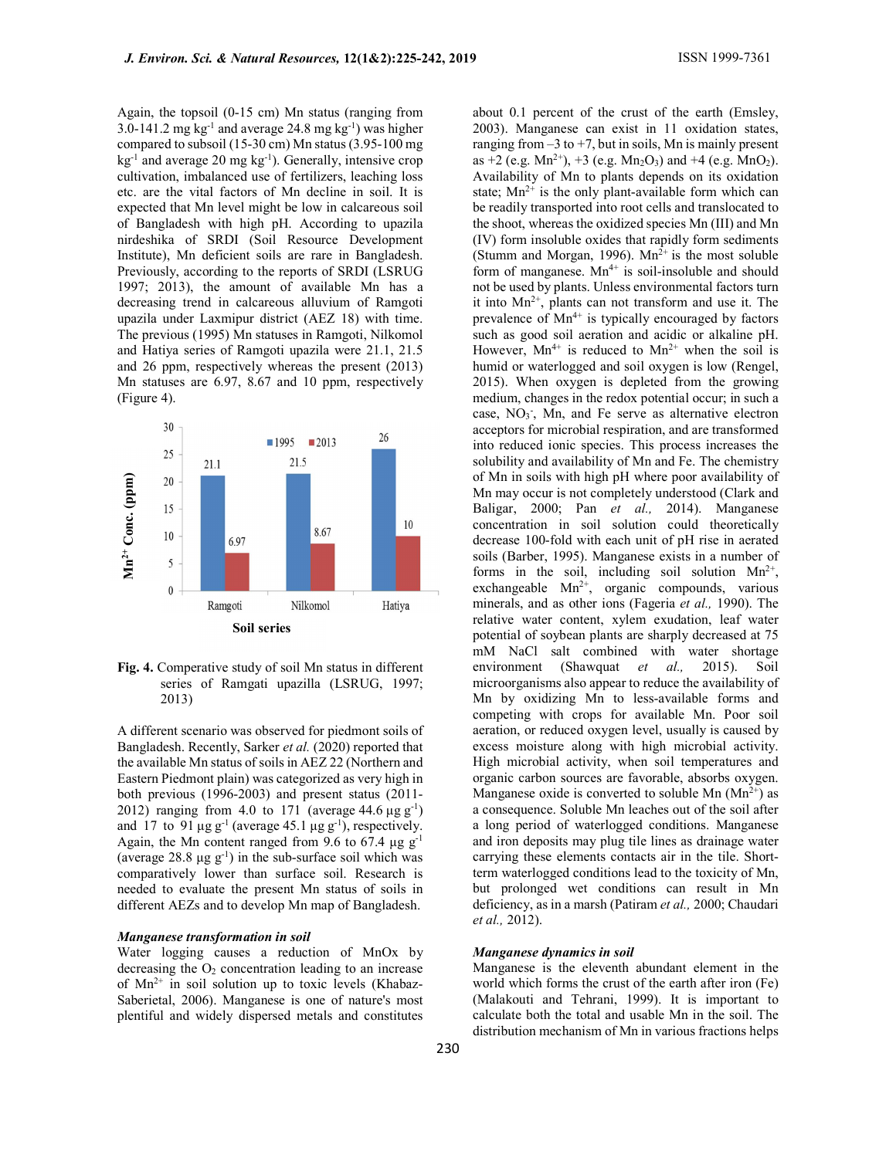Again, the topsoil (0-15 cm) Mn status (ranging from 3.0-141.2 mg  $kg^{-1}$  and average 24.8 mg  $kg^{-1}$ ) was higher compared to subsoil (15-30 cm) Mn status (3.95-100 mg  $kg^{-1}$  and average 20 mg  $kg^{-1}$ ). Generally, intensive crop cultivation, imbalanced use of fertilizers, leaching loss etc. are the vital factors of Mn decline in soil. It is expected that Mn level might be low in calcareous soil of Bangladesh with high pH. According to upazila nirdeshika of SRDI (Soil Resource Development Institute), Mn deficient soils are rare in Bangladesh. Previously, according to the reports of SRDI (LSRUG 1997; 2013), the amount of available Mn has a decreasing trend in calcareous alluvium of Ramgoti upazila under Laxmipur district (AEZ 18) with time. The previous (1995) Mn statuses in Ramgoti, Nilkomol and Hatiya series of Ramgoti upazila were 21.1, 21.5 and 26 ppm, respectively whereas the present (2013) Mn statuses are 6.97, 8.67 and 10 ppm, respectively (Figure 4).



Fig. 4. Comperative study of soil Mn status in different series of Ramgati upazilla (LSRUG, 1997; 2013)

A different scenario was observed for piedmont soils of Bangladesh. Recently, Sarker et al. (2020) reported that the available Mn status of soils in AEZ 22 (Northern and Eastern Piedmont plain) was categorized as very high in both previous (1996-2003) and present status (2011- 2012) ranging from 4.0 to 171 (average 44.6  $\mu$ g g<sup>-1</sup>) and 17 to 91  $\mu$ g g<sup>-1</sup> (average 45.1  $\mu$ g g<sup>-1</sup>), respectively. Again, the Mn content ranged from 9.6 to 67.4  $\mu$ g g<sup>-1</sup> (average  $28.8 \mu$ g g<sup>-1</sup>) in the sub-surface soil which was comparatively lower than surface soil. Research is needed to evaluate the present Mn status of soils in different AEZs and to develop Mn map of Bangladesh.

### Manganese transformation in soil

Water logging causes a reduction of MnOx by decreasing the  $O<sub>2</sub>$  concentration leading to an increase of  $Mn^{2+}$  in soil solution up to toxic levels (Khabaz-Saberietal, 2006). Manganese is one of nature's most plentiful and widely dispersed metals and constitutes

about 0.1 percent of the crust of the earth (Emsley, 2003). Manganese can exist in 11 oxidation states, ranging from  $-3$  to  $+7$ , but in soils, Mn is mainly present as  $+2$  (e.g. Mn<sup>2+</sup>),  $+3$  (e.g. Mn<sub>2</sub>O<sub>3</sub>) and  $+4$  (e.g. MnO<sub>2</sub>). Availability of Mn to plants depends on its oxidation state;  $Mn^{2+}$  is the only plant-available form which can be readily transported into root cells and translocated to the shoot, whereas the oxidized species Mn (III) and Mn (IV) form insoluble oxides that rapidly form sediments (Stumm and Morgan, 1996).  $Mn^{2+}$  is the most soluble form of manganese.  $Mn^{4+}$  is soil-insoluble and should not be used by plants. Unless environmental factors turn it into  $Mn^{2+}$ , plants can not transform and use it. The prevalence of  $Mn^{4+}$  is typically encouraged by factors such as good soil aeration and acidic or alkaline pH. However,  $Mn^{4+}$  is reduced to  $Mn^{2+}$  when the soil is humid or waterlogged and soil oxygen is low (Rengel, 2015). When oxygen is depleted from the growing medium, changes in the redox potential occur; in such a case, NO<sub>3</sub>, Mn, and Fe serve as alternative electron acceptors for microbial respiration, and are transformed into reduced ionic species. This process increases the solubility and availability of Mn and Fe. The chemistry of Mn in soils with high pH where poor availability of Mn may occur is not completely understood (Clark and Baligar, 2000; Pan et al., 2014). Manganese concentration in soil solution could theoretically decrease 100-fold with each unit of pH rise in aerated soils (Barber, 1995). Manganese exists in a number of forms in the soil, including soil solution  $Mn^{2+}$ , exchangeable  $Mn^{2+}$ , organic compounds, various minerals, and as other ions (Fageria et al., 1990). The relative water content, xylem exudation, leaf water potential of soybean plants are sharply decreased at 75 mM NaCl salt combined with water shortage environment (Shawquat et al., 2015). Soil microorganisms also appear to reduce the availability of Mn by oxidizing Mn to less-available forms and competing with crops for available Mn. Poor soil aeration, or reduced oxygen level, usually is caused by excess moisture along with high microbial activity. High microbial activity, when soil temperatures and organic carbon sources are favorable, absorbs oxygen. Manganese oxide is converted to soluble Mn  $(Mn^{2+})$  as a consequence. Soluble Mn leaches out of the soil after a long period of waterlogged conditions. Manganese and iron deposits may plug tile lines as drainage water carrying these elements contacts air in the tile. Shortterm waterlogged conditions lead to the toxicity of Mn, but prolonged wet conditions can result in Mn deficiency, as in a marsh (Patiram et al., 2000; Chaudari et al., 2012). **Example 12**<br>
Mn in an ostic with the particularly of the stretches of Clark and<br>
10 concentration in soil solidiers concentration in soil solidiers and concentration<br>
10 concentration in soil solidiers concelled Moreover

### Manganese dynamics in soil

Manganese is the eleventh abundant element in the world which forms the crust of the earth after iron (Fe) (Malakouti and Tehrani, 1999). It is important to calculate both the total and usable Mn in the soil. The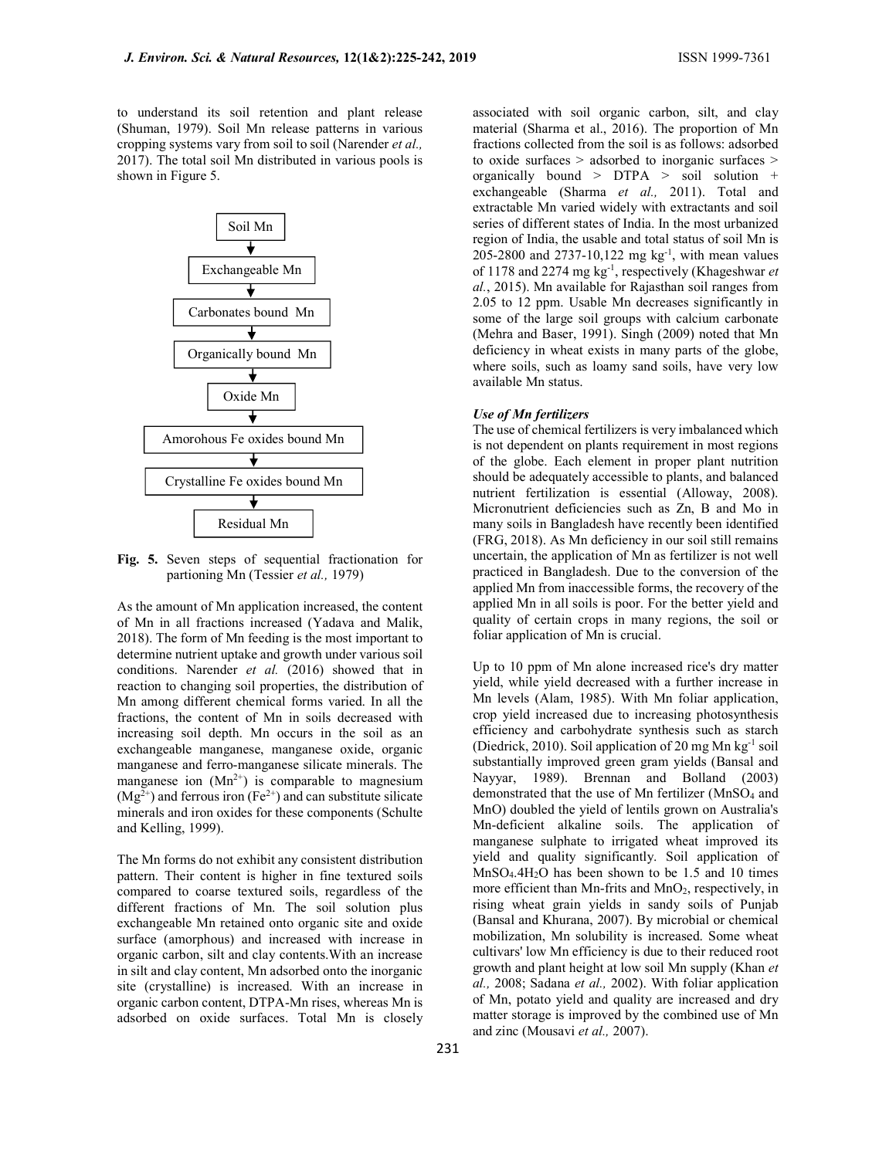to understand its soil retention and plant release (Shuman, 1979). Soil Mn release patterns in various cropping systems vary from soil to soil (Narender et al., 2017). The total soil Mn distributed in various pools is shown in Figure 5.



Fig. 5. Seven steps of sequential fractionation for partioning Mn (Tessier et al., 1979)

As the amount of Mn application increased, the content of Mn in all fractions increased (Yadava and Malik, 2018). The form of Mn feeding is the most important to determine nutrient uptake and growth under various soil conditions. Narender et al. (2016) showed that in reaction to changing soil properties, the distribution of Mn among different chemical forms varied. In all the fractions, the content of Mn in soils decreased with increasing soil depth. Mn occurs in the soil as an exchangeable manganese, manganese oxide, organic manganese and ferro-manganese silicate minerals. The manganese ion  $(Mn^{2+})$  is comparable to magnesium  $(Mg<sup>2+</sup>)$  and ferrous iron (Fe<sup>2+</sup>) and can substitute silicate minerals and iron oxides for these components (Schulte and Kelling, 1999).

The Mn forms do not exhibit any consistent distribution pattern. Their content is higher in fine textured soils compared to coarse textured soils, regardless of the different fractions of Mn. The soil solution plus exchangeable Mn retained onto organic site and oxide surface (amorphous) and increased with increase in organic carbon, silt and clay contents.With an increase in silt and clay content, Mn adsorbed onto the inorganic site (crystalline) is increased. With an increase in organic carbon content, DTPA-Mn rises, whereas Mn is adsorbed on oxide surfaces. Total Mn is closely

associated with soil organic carbon, silt, and clay material (Sharma et al., 2016). The proportion of Mn fractions collected from the soil is as follows: adsorbed to oxide surfaces > adsorbed to inorganic surfaces > organically bound > DTPA > soil solution + exchangeable (Sharma et al., 2011). Total and extractable Mn varied widely with extractants and soil series of different states of India. In the most urbanized region of India, the usable and total status of soil Mn is 205-2800 and 2737-10,122 mg kg-1, with mean values of 1178 and 2274 mg  $kg^{-1}$ , respectively (Khageshwar et al., 2015). Mn available for Rajasthan soil ranges from 2.05 to 12 ppm. Usable Mn decreases significantly in some of the large soil groups with calcium carbonate (Mehra and Baser, 1991). Singh (2009) noted that Mn deficiency in wheat exists in many parts of the globe, where soils, such as loamy sand soils, have very low available Mn status.

# Use of Mn fertilizers

The use of chemical fertilizers is very imbalanced which is not dependent on plants requirement in most regions of the globe. Each element in proper plant nutrition should be adequately accessible to plants, and balanced nutrient fertilization is essential (Alloway, 2008). Micronutrient deficiencies such as Zn, B and Mo in many soils in Bangladesh have recently been identified (FRG, 2018). As Mn deficiency in our soil still remains uncertain, the application of Mn as fertilizer is not well practiced in Bangladesh. Due to the conversion of the applied Mn from inaccessible forms, the recovery of the applied Mn in all soils is poor. For the better yield and quality of certain crops in many regions, the soil or foliar application of Mn is crucial.

Up to 10 ppm of Mn alone increased rice's dry matter yield, while yield decreased with a further increase in Mn levels (Alam, 1985). With Mn foliar application, crop yield increased due to increasing photosynthesis efficiency and carbohydrate synthesis such as starch (Diedrick, 2010). Soil application of 20 mg Mn kg-1 soil substantially improved green gram yields (Bansal and Nayyar, 1989). Brennan and Bolland (2003) demonstrated that the use of Mn fertilizer (MnSO<sub>4</sub> and MnO) doubled the yield of lentils grown on Australia's Mn-deficient alkaline soils. The application of manganese sulphate to irrigated wheat improved its yield and quality significantly. Soil application of  $MnSO<sub>4</sub>.4H<sub>2</sub>O$  has been shown to be 1.5 and 10 times more efficient than Mn-frits and MnO2, respectively, in rising wheat grain yields in sandy soils of Punjab (Bansal and Khurana, 2007). By microbial or chemical mobilization, Mn solubility is increased. Some wheat cultivars' low Mn efficiency is due to their reduced root growth and plant height at low soil Mn supply (Khan et al., 2008; Sadana et al., 2002). With foliar application of Mn, potato yield and quality are increased and dry matter storage is improved by the combined use of Mn and zinc (Mousavi et al., 2007).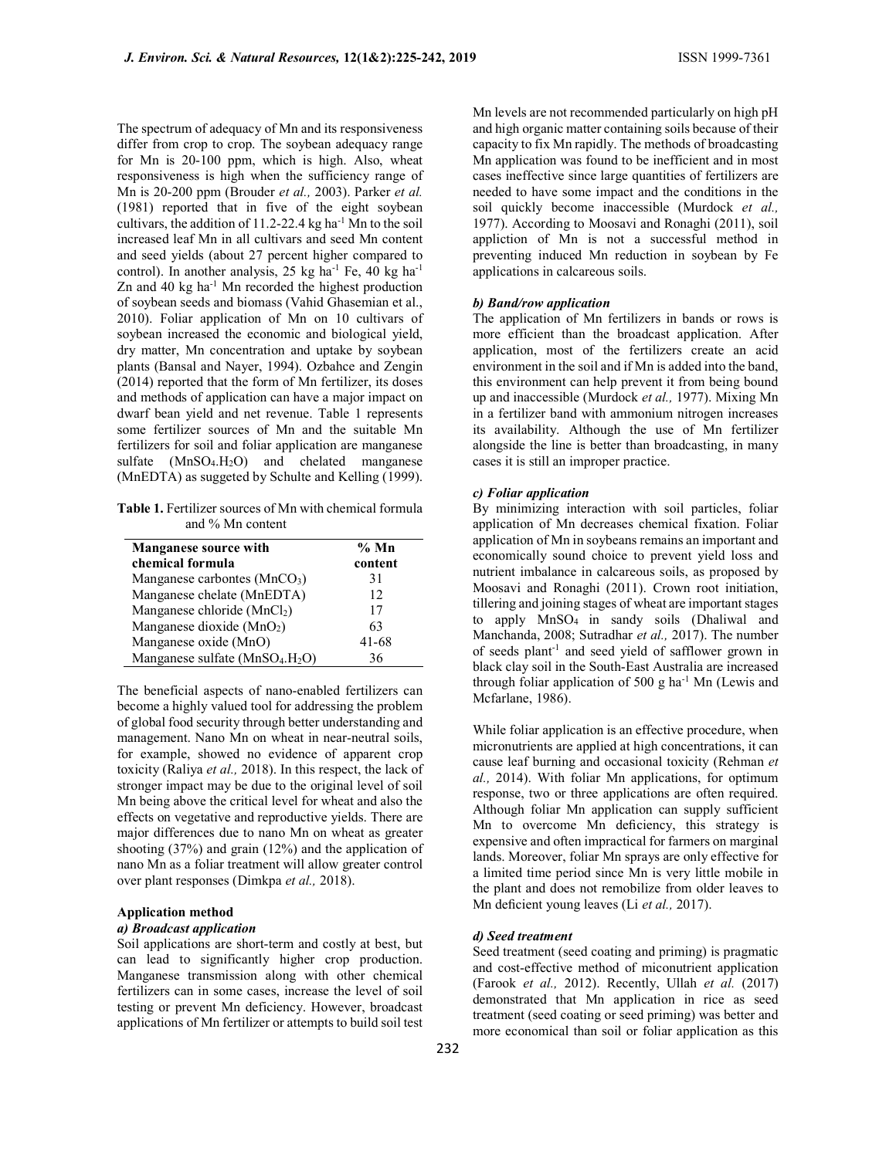The spectrum of adequacy of Mn and its responsiveness differ from crop to crop. The soybean adequacy range for Mn is 20-100 ppm, which is high. Also, wheat responsiveness is high when the sufficiency range of Mn is 20-200 ppm (Brouder et al., 2003). Parker et al. (1981) reported that in five of the eight soybean cultivars, the addition of  $11.2$ -22.4 kg ha<sup>-1</sup> Mn to the soil increased leaf Mn in all cultivars and seed Mn content and seed yields (about 27 percent higher compared to control). In another analysis, 25 kg ha<sup>-1</sup> Fe, 40 kg ha<sup>-1</sup> Zn and 40 kg ha-1 Mn recorded the highest production of soybean seeds and biomass (Vahid Ghasemian et al., 2010). Foliar application of Mn on 10 cultivars of soybean increased the economic and biological yield, dry matter, Mn concentration and uptake by soybean plants (Bansal and Nayer, 1994). Ozbahce and Zengin (2014) reported that the form of Mn fertilizer, its doses and methods of application can have a major impact on dwarf bean yield and net revenue. Table 1 represents some fertilizer sources of Mn and the suitable Mn fertilizers for soil and foliar application are manganese sulfate (MnSO<sub>4</sub>.H<sub>2</sub>O) and chelated manganese (MnEDTA) as suggeted by Schulte and Kelling (1999).

Table 1. Fertilizer sources of Mn with chemical formula and % Mn content

| <b>Manganese source with</b>    | $%$ Mn  |
|---------------------------------|---------|
| chemical formula                | content |
| Manganese carbontes $(MnCO3)$   | 31      |
| Manganese chelate (MnEDTA)      | 12      |
| Manganese chloride (MnCl2)      | 17      |
| Manganese dioxide $(MnO2)$      | 63      |
| Manganese oxide (MnO)           | 41-68   |
| Manganese sulfate $(MnSO4.H2O)$ | 36      |

The beneficial aspects of nano-enabled fertilizers can become a highly valued tool for addressing the problem of global food security through better understanding and management. Nano Mn on wheat in near-neutral soils, for example, showed no evidence of apparent crop toxicity (Raliya et al., 2018). In this respect, the lack of stronger impact may be due to the original level of soil Mn being above the critical level for wheat and also the effects on vegetative and reproductive yields. There are major differences due to nano Mn on wheat as greater shooting (37%) and grain (12%) and the application of nano Mn as a foliar treatment will allow greater control over plant responses (Dimkpa et al., 2018).

# Application method

### a) Broadcast application

Soil applications are short-term and costly at best, but can lead to significantly higher crop production. Manganese transmission along with other chemical fertilizers can in some cases, increase the level of soil testing or prevent Mn deficiency. However, broadcast applications of Mn fertilizer or attempts to build soil test

Mn levels are not recommended particularly on high pH and high organic matter containing soils because of their capacity to fix Mn rapidly. The methods of broadcasting Mn application was found to be inefficient and in most cases ineffective since large quantities of fertilizers are needed to have some impact and the conditions in the soil quickly become inaccessible (Murdock et al., 1977). According to Moosavi and Ronaghi (2011), soil appliction of Mn is not a successful method in preventing induced Mn reduction in soybean by Fe applications in calcareous soils.

### b) Band/row application

The application of Mn fertilizers in bands or rows is more efficient than the broadcast application. After application, most of the fertilizers create an acid environment in the soil and if Mn is added into the band, this environment can help prevent it from being bound up and inaccessible (Murdock et al., 1977). Mixing Mn in a fertilizer band with ammonium nitrogen increases its availability. Although the use of Mn fertilizer alongside the line is better than broadcasting, in many cases it is still an improper practice.

### c) Foliar application

By minimizing interaction with soil particles, foliar application of Mn decreases chemical fixation. Foliar application of Mn in soybeans remains an important and economically sound choice to prevent yield loss and nutrient imbalance in calcareous soils, as proposed by Moosavi and Ronaghi (2011). Crown root initiation, tillering and joining stages of wheat are important stages to apply MnSO4 in sandy soils (Dhaliwal and Manchanda, 2008; Sutradhar et al., 2017). The number of seeds plant-1 and seed yield of safflower grown in black clay soil in the South-East Australia are increased through foliar application of 500 g ha<sup>-1</sup> Mn (Lewis and Mcfarlane, 1986).

While foliar application is an effective procedure, when micronutrients are applied at high concentrations, it can cause leaf burning and occasional toxicity (Rehman et al., 2014). With foliar Mn applications, for optimum response, two or three applications are often required. Although foliar Mn application can supply sufficient Mn to overcome Mn deficiency, this strategy is expensive and often impractical for farmers on marginal lands. Moreover, foliar Mn sprays are only effective for a limited time period since Mn is very little mobile in the plant and does not remobilize from older leaves to Mn deficient young leaves (Li et al., 2017).

### d) Seed treatment

Seed treatment (seed coating and priming) is pragmatic and cost-effective method of miconutrient application (Farook et al., 2012). Recently, Ullah et al. (2017) demonstrated that Mn application in rice as seed treatment (seed coating or seed priming) was better and more economical than soil or foliar application as this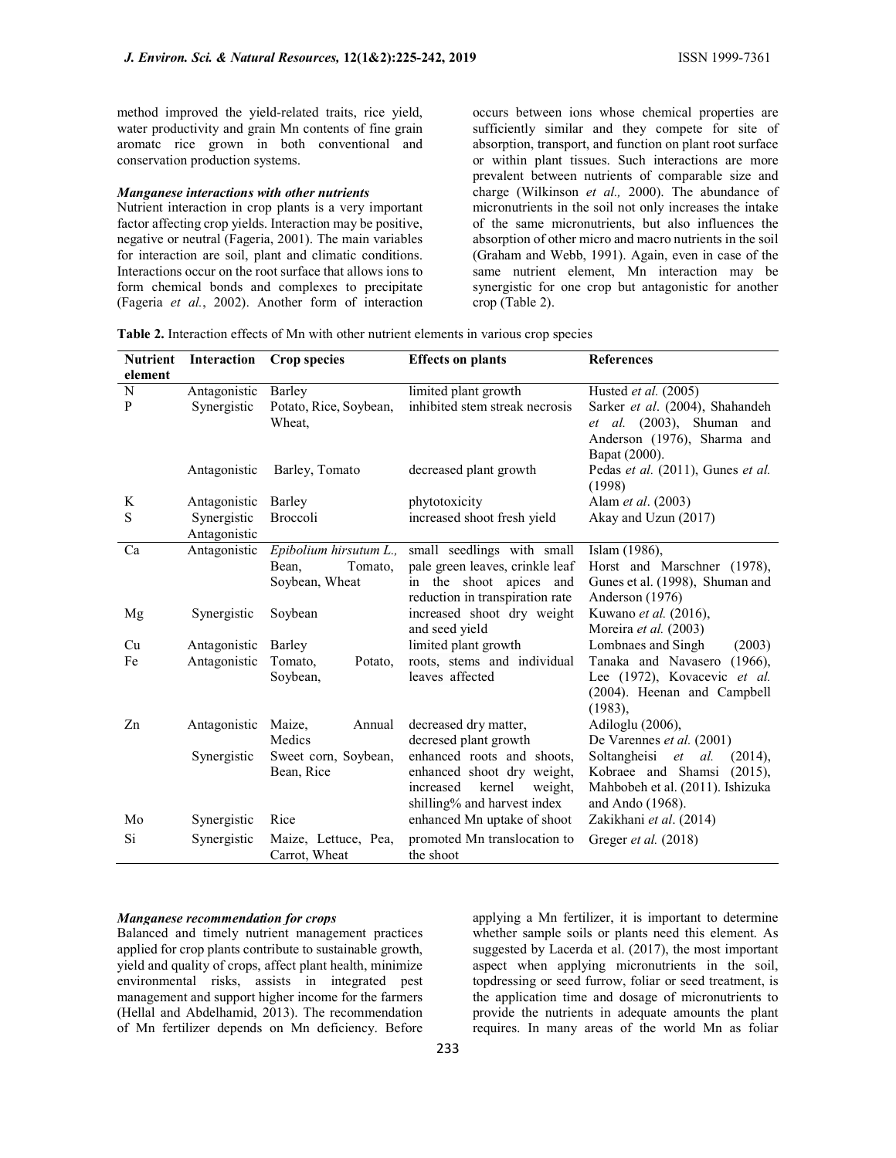method improved the yield-related traits, rice yield, water productivity and grain Mn contents of fine grain aromatc rice grown in both conventional and conservation production systems.

### Manganese interactions with other nutrients

Nutrient interaction in crop plants is a very important factor affecting crop yields. Interaction may be positive, negative or neutral (Fageria, 2001). The main variables for interaction are soil, plant and climatic conditions. Interactions occur on the root surface that allows ions to form chemical bonds and complexes to precipitate (Fageria et al., 2002). Another form of interaction occurs between ions whose chemical properties are sufficiently similar and they compete for site of absorption, transport, and function on plant root surface or within plant tissues. Such interactions are more prevalent between nutrients of comparable size and charge (Wilkinson et al., 2000). The abundance of micronutrients in the soil not only increases the intake of the same micronutrients, but also influences the absorption of other micro and macro nutrients in the soil (Graham and Webb, 1991). Again, even in case of the same nutrient element, Mn interaction may be synergistic for one crop but antagonistic for another crop (Table 2).

| <b>Nutrient</b><br>element | Interaction                 | <b>Crop species</b>              | <b>Effects</b> on plants                               | <b>References</b>                            |
|----------------------------|-----------------------------|----------------------------------|--------------------------------------------------------|----------------------------------------------|
| N                          |                             |                                  |                                                        | Husted et al. (2005)                         |
| $\mathbf{P}$               | Antagonistic<br>Synergistic | Barley<br>Potato, Rice, Soybean, | limited plant growth<br>inhibited stem streak necrosis | Sarker et al. (2004), Shahandeh              |
|                            |                             | Wheat,                           |                                                        | <i>et al.</i> (2003), Shuman<br>and          |
|                            |                             |                                  |                                                        | Anderson (1976), Sharma and                  |
|                            |                             |                                  |                                                        |                                              |
|                            |                             |                                  |                                                        | Bapat (2000).                                |
|                            | Antagonistic                | Barley, Tomato                   | decreased plant growth                                 | Pedas et al. (2011), Gunes et al.<br>(1998)  |
| K                          | Antagonistic                | Barley                           | phytotoxicity                                          | Alam et al. (2003)                           |
| S                          |                             | Broccoli                         |                                                        | Akay and Uzun (2017)                         |
|                            | Synergistic<br>Antagonistic |                                  | increased shoot fresh yield                            |                                              |
| Ca                         |                             | Epibolium hirsutum L.,           | small seedlings with small                             |                                              |
|                            | Antagonistic                | Bean.<br>Tomato.                 | pale green leaves, crinkle leaf                        | Islam (1986),<br>Horst and Marschner (1978), |
|                            |                             | Soybean, Wheat                   | in the shoot apices and                                | Gunes et al. (1998), Shuman and              |
|                            |                             |                                  | reduction in transpiration rate                        | Anderson (1976)                              |
| Mg                         | Synergistic                 | Soybean                          | increased shoot dry weight                             | Kuwano et al. (2016),                        |
|                            |                             |                                  | and seed yield                                         | Moreira et al. (2003)                        |
| Cu                         | Antagonistic                | Barley                           | limited plant growth                                   | Lombnaes and Singh<br>(2003)                 |
| Fe                         | Antagonistic                | Tomato,<br>Potato,               | roots, stems and individual                            | Tanaka and Navasero<br>$(1966)$ ,            |
|                            |                             | Soybean,                         | leaves affected                                        | Lee (1972), Kovacevic et al.                 |
|                            |                             |                                  |                                                        | (2004). Heenan and Campbell                  |
|                            |                             |                                  |                                                        | $(1983)$ ,                                   |
| Zn                         | Antagonistic                | Maize,<br>Annual                 | decreased dry matter,                                  | Adiloglu (2006),                             |
|                            |                             | Medics                           | decresed plant growth                                  | De Varennes et al. (2001)                    |
|                            | Synergistic                 | Sweet corn, Soybean,             | enhanced roots and shoots.                             | Soltangheisi<br>et<br>al.<br>(2014),         |
|                            |                             | Bean, Rice                       | enhanced shoot dry weight,                             | Kobraee and Shamsi<br>(2015),                |
|                            |                             |                                  | kernel<br>increased<br>weight,                         | Mahbobeh et al. (2011). Ishizuka             |
|                            |                             |                                  | shilling% and harvest index                            | and Ando (1968).                             |
| Mo                         | Synergistic                 | Rice                             | enhanced Mn uptake of shoot                            | Zakikhani et al. (2014)                      |
|                            |                             |                                  |                                                        |                                              |
| Si                         | Synergistic                 | Maize, Lettuce, Pea,             | promoted Mn translocation to                           | Greger et al. (2018)                         |
|                            |                             | Carrot, Wheat                    | the shoot                                              |                                              |

Table 2. Interaction effects of Mn with other nutrient elements in various crop species

# Manganese recommendation for crops

Balanced and timely nutrient management practices applied for crop plants contribute to sustainable growth, yield and quality of crops, affect plant health, minimize environmental risks, assists in integrated pest management and support higher income for the farmers (Hellal and Abdelhamid, 2013). The recommendation of Mn fertilizer depends on Mn deficiency. Before

applying a Mn fertilizer, it is important to determine whether sample soils or plants need this element. As suggested by Lacerda et al. (2017), the most important aspect when applying micronutrients in the soil, topdressing or seed furrow, foliar or seed treatment, is the application time and dosage of micronutrients to provide the nutrients in adequate amounts the plant requires. In many areas of the world Mn as foliar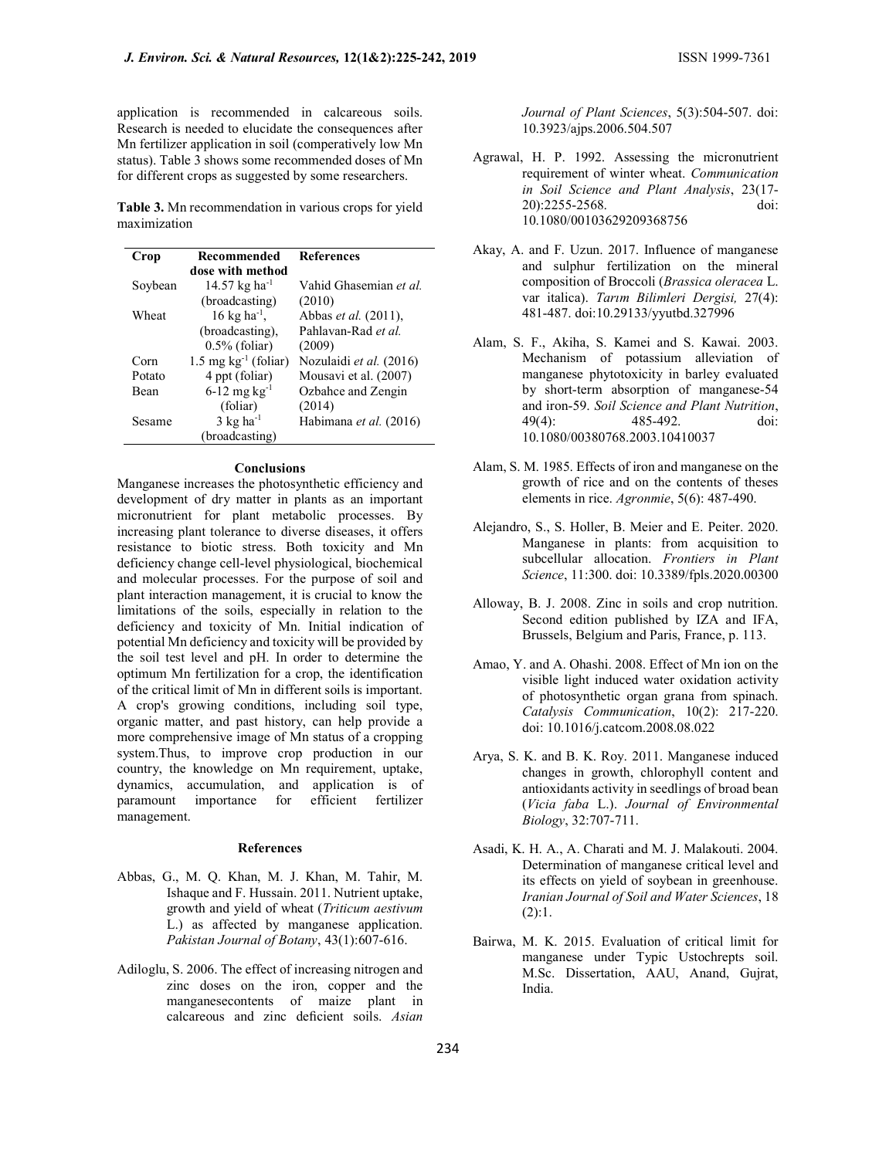application is recommended in calcareous soils. Research is needed to elucidate the consequences after Mn fertilizer application in soil (comperatively low Mn status). Table 3 shows some recommended doses of Mn for different crops as suggested by some researchers.

Table 3. Mn recommendation in various crops for yield maximization

| Crop    | Recommended                       | References              |
|---------|-----------------------------------|-------------------------|
|         | dose with method                  |                         |
| Soybean | 14.57 kg ha <sup>-1</sup>         | Vahid Ghasemian et al.  |
|         | (broadcasting)                    | (2010)                  |
| Wheat   | $16 \text{ kg} \text{ ha}^{-1}$ , | Abbas et al. (2011),    |
|         | (broadcasting),                   | Pahlavan-Rad et al.     |
|         | $0.5\%$ (foliar)                  | (2009)                  |
| Corn    | $1.5 \text{ mg kg}^{-1}$ (foliar) | Nozulaidi et al. (2016) |
| Potato  | 4 ppt (foliar)                    | Mousavi et al. (2007)   |
| Bean    | $6-12$ mg kg <sup>-1</sup>        | Ozbahce and Zengin      |
|         | (foliar)                          | (2014)                  |
| Sesame  | $3 \text{ kg}$ ha <sup>-1</sup>   | Habimana et al. (2016)  |
|         | (broadcasting)                    |                         |

# Conclusions

Manganese increases the photosynthetic efficiency and development of dry matter in plants as an important micronutrient for plant metabolic processes. By increasing plant tolerance to diverse diseases, it offers resistance to biotic stress. Both toxicity and Mn deficiency change cell-level physiological, biochemical and molecular processes. For the purpose of soil and plant interaction management, it is crucial to know the limitations of the soils, especially in relation to the deficiency and toxicity of Mn. Initial indication of potential Mn deficiency and toxicity will be provided by the soil test level and pH. In order to determine the optimum Mn fertilization for a crop, the identification of the critical limit of Mn in different soils is important. A crop's growing conditions, including soil type, organic matter, and past history, can help provide a more comprehensive image of Mn status of a cropping system.Thus, to improve crop production in our country, the knowledge on Mn requirement, uptake, dynamics, accumulation, and application is of paramount importance for efficient fertilizer management.

#### References

- Abbas, G., M. Q. Khan, M. J. Khan, M. Tahir, M. Ishaque and F. Hussain. 2011. Nutrient uptake, growth and yield of wheat (Triticum aestivum L.) as affected by manganese application. Pakistan Journal of Botany, 43(1):607-616.
- Adiloglu, S. 2006. The effect of increasing nitrogen and zinc doses on the iron, copper and the manganesecontents of maize plant in calcareous and zinc deficient soils. Asian

Journal of Plant Sciences, 5(3):504-507. doi: 10.3923/ajps.2006.504.507

- Agrawal, H. P. 1992. Assessing the micronutrient requirement of winter wheat. Communication in Soil Science and Plant Analysis, 23(17- 20):2255-2568. doi: 10.1080/00103629209368756
- Akay, A. and F. Uzun. 2017. Influence of manganese and sulphur fertilization on the mineral composition of Broccoli (Brassica oleracea L. var italica). Tarım Bilimleri Dergisi, 27(4): 481-487. doi:10.29133/yyutbd.327996
- Alam, S. F., Akiha, S. Kamei and S. Kawai. 2003. Mechanism of potassium alleviation of manganese phytotoxicity in barley evaluated by short-term absorption of manganese-54 and iron-59. Soil Science and Plant Nutrition, 49(4): 485-492. doi: 10.1080/00380768.2003.10410037
- Alam, S. M. 1985. Effects of iron and manganese on the growth of rice and on the contents of theses elements in rice. Agronmie, 5(6): 487-490.
- Alejandro, S., S. Holler, B. Meier and E. Peiter. 2020. Manganese in plants: from acquisition to subcellular allocation. Frontiers in Plant Science, 11:300. doi: 10.3389/fpls.2020.00300
- Alloway, B. J. 2008. Zinc in soils and crop nutrition. Second edition published by IZA and IFA, Brussels, Belgium and Paris, France, p. 113.
- Amao, Y. and A. Ohashi. 2008. Effect of Mn ion on the visible light induced water oxidation activity of photosynthetic organ grana from spinach. Catalysis Communication, 10(2): 217-220. doi: 10.1016/j.catcom.2008.08.022
- Arya, S. K. and B. K. Roy. 2011. Manganese induced changes in growth, chlorophyll content and antioxidants activity in seedlings of broad bean (Vicia faba L.). Journal of Environmental Biology, 32:707-711.
- Asadi, K. H. A., A. Charati and M. J. Malakouti. 2004. Determination of manganese critical level and its effects on yield of soybean in greenhouse. Iranian Journal of Soil and Water Sciences, 18  $(2):1.$
- Bairwa, M. K. 2015. Evaluation of critical limit for manganese under Typic Ustochrepts soil. M.Sc. Dissertation, AAU, Anand, Gujrat, India.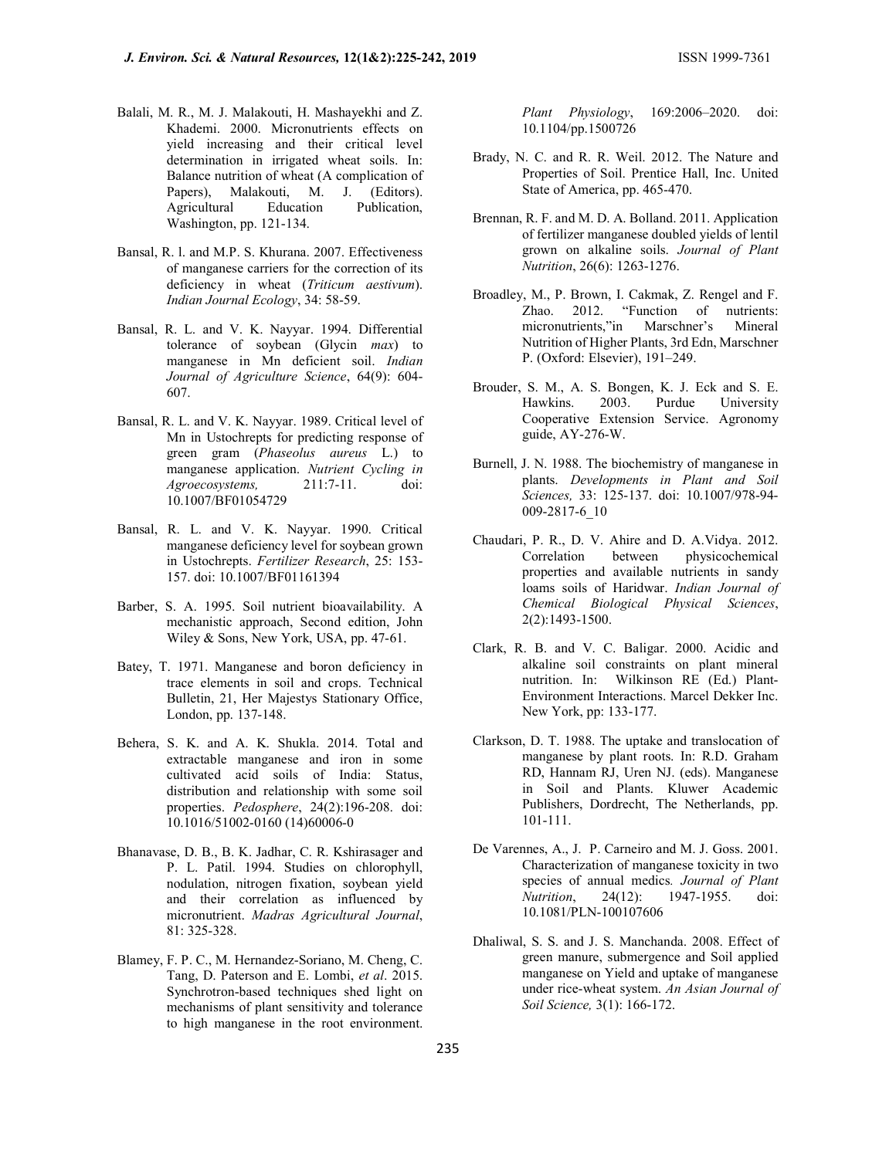- Balali, M. R., M. J. Malakouti, H. Mashayekhi and Z. Khademi. 2000. Micronutrients effects on yield increasing and their critical level determination in irrigated wheat soils. In: Balance nutrition of wheat (A complication of Papers), Malakouti, M. J. (Editors). Agricultural Education Publication, Washington, pp. 121-134.
- Bansal, R. l. and M.P. S. Khurana. 2007. Effectiveness of manganese carriers for the correction of its deficiency in wheat (Triticum aestivum). Indian Journal Ecology, 34: 58-59.
- Bansal, R. L. and V. K. Nayyar. 1994. Differential tolerance of soybean (Glycin max) to manganese in Mn deficient soil. Indian Journal of Agriculture Science, 64(9): 604- 607.
- Bansal, R. L. and V. K. Nayyar. 1989. Critical level of Mn in Ustochrepts for predicting response of green gram (Phaseolus aureus L.) to manganese application. Nutrient Cycling in Agroecosystems, 211:7-11. doi: 10.1007/BF01054729
- Bansal, R. L. and V. K. Nayyar. 1990. Critical manganese deficiency level for soybean grown in Ustochrepts. Fertilizer Research, 25: 153- 157. doi: 10.1007/BF01161394
- Barber, S. A. 1995. Soil nutrient bioavailability. A mechanistic approach, Second edition, John Wiley & Sons, New York, USA, pp. 47-61.
- Batey, T. 1971. Manganese and boron deficiency in trace elements in soil and crops. Technical Bulletin, 21, Her Majestys Stationary Office, London, pp. 137-148.
- Behera, S. K. and A. K. Shukla. 2014. Total and extractable manganese and iron in some cultivated acid soils of India: Status, distribution and relationship with some soil properties. Pedosphere, 24(2):196-208. doi: 10.1016/51002-0160 (14)60006-0
- Bhanavase, D. B., B. K. Jadhar, C. R. Kshirasager and P. L. Patil. 1994. Studies on chlorophyll, nodulation, nitrogen fixation, soybean yield and their correlation as influenced by micronutrient. Madras Agricultural Journal, 81: 325-328.
- Blamey, F. P. C., M. Hernandez-Soriano, M. Cheng, C. Tang, D. Paterson and E. Lombi, et al. 2015. Synchrotron-based techniques shed light on mechanisms of plant sensitivity and tolerance to high manganese in the root environment.

Plant Physiology, 169:2006–2020. doi: 10.1104/pp.1500726

- Brady, N. C. and R. R. Weil. 2012. The Nature and Properties of Soil. Prentice Hall, Inc. United State of America, pp. 465-470.
- Brennan, R. F. and M. D. A. Bolland. 2011. Application of fertilizer manganese doubled yields of lentil grown on alkaline soils. Journal of Plant Nutrition, 26(6): 1263-1276.
- Broadley, M., P. Brown, I. Cakmak, Z. Rengel and F. Zhao. 2012. "Function of nutrients: micronutrients,"in Marschner's Mineral Nutrition of Higher Plants, 3rd Edn, Marschner P. (Oxford: Elsevier), 191–249.
- Brouder, S. M., A. S. Bongen, K. J. Eck and S. E. Hawkins. 2003. Purdue University Cooperative Extension Service. Agronomy guide, AY-276-W.
- Burnell, J. N. 1988. The biochemistry of manganese in plants. Developments in Plant and Soil Sciences, 33: 125-137. doi: 10.1007/978-94- 009-2817-6\_10
- Chaudari, P. R., D. V. Ahire and D. A.Vidya. 2012. Correlation between physicochemical properties and available nutrients in sandy loams soils of Haridwar. Indian Journal of Chemical Biological Physical Sciences, 2(2):1493-1500.
- Clark, R. B. and V. C. Baligar. 2000. Acidic and alkaline soil constraints on plant mineral nutrition. In: Wilkinson RE (Ed.) Plant-Environment Interactions. Marcel Dekker Inc. New York, pp: 133-177.
- Clarkson, D. T. 1988. The uptake and translocation of manganese by plant roots. In: R.D. Graham RD, Hannam RJ, Uren NJ. (eds). Manganese in Soil and Plants. Kluwer Academic Publishers, Dordrecht, The Netherlands, pp. 101-111.
- De Varennes, A., J. P. Carneiro and M. J. Goss. 2001. Characterization of manganese toxicity in two species of annual medics. Journal of Plant Nutrition, 24(12): 1947-1955. doi: 10.1081/PLN-100107606
- Dhaliwal, S. S. and J. S. Manchanda. 2008. Effect of green manure, submergence and Soil applied manganese on Yield and uptake of manganese under rice-wheat system. An Asian Journal of Soil Science, 3(1): 166-172.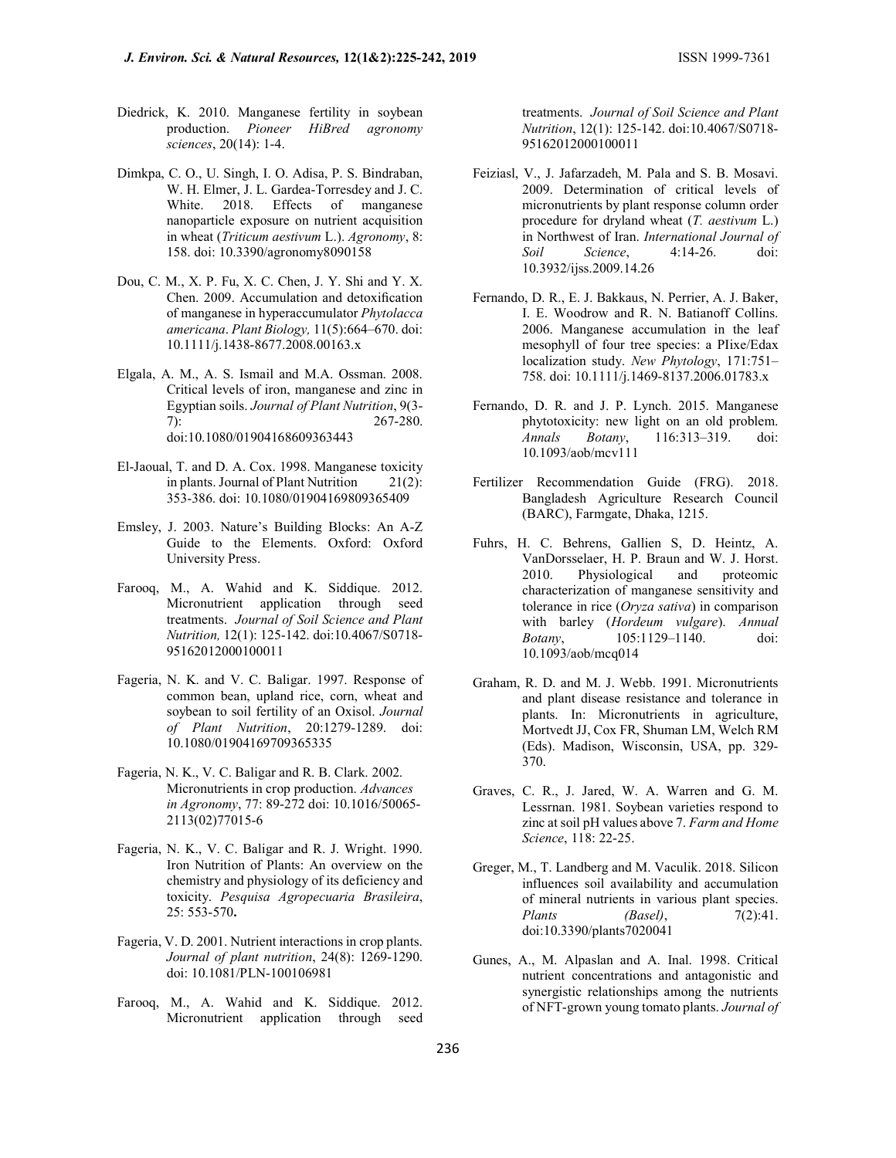- Diedrick, K. 2010. Manganese fertility in soybean production. Pioneer HiBred agronomy sciences, 20(14): 1-4.
- Dimkpa, C. O., U. Singh, I. O. Adisa, P. S. Bindraban, W. H. Elmer, J. L. Gardea-Torresdey and J. C. White. 2018. Effects of manganese nanoparticle exposure on nutrient acquisition in wheat (Triticum aestivum L.). Agronomy, 8: 158. doi: 10.3390/agronomy8090158
- Dou, C. M., X. P. Fu, X. C. Chen, J. Y. Shi and Y. X. Chen. 2009. Accumulation and detoxification of manganese in hyperaccumulator Phytolacca americana. Plant Biology, 11(5):664–670. doi: 10.1111/j.1438-8677.2008.00163.x
- Elgala, A. M., A. S. Ismail and M.A. Ossman. 2008. Critical levels of iron, manganese and zinc in Egyptian soils. Journal of Plant Nutrition, 9(3- 7): 267-280. doi:10.1080/01904168609363443
- El-Jaoual, T. and D. A. Cox. 1998. Manganese toxicity in plants. Journal of Plant Nutrition 21(2): 353-386. doi: 10.1080/01904169809365409
- Emsley, J. 2003. Nature's Building Blocks: An A-Z Guide to the Elements. Oxford: Oxford University Press.
- Farooq, M., A. Wahid and K. Siddique. 2012. Micronutrient application through seed treatments. Journal of Soil Science and Plant Nutrition, 12(1): 125-142. doi:10.4067/S0718- 95162012000100011
- Fageria, N. K. and V. C. Baligar. 1997. Response of common bean, upland rice, corn, wheat and soybean to soil fertility of an Oxisol. Journal of Plant Nutrition, 20:1279-1289. doi: 10.1080/01904169709365335
- Fageria, N. K., V. C. Baligar and R. B. Clark. 2002. Micronutrients in crop production. Advances in Agronomy, 77: 89-272 doi: 10.1016/50065- 2113(02)77015-6
- Fageria, N. K., V. C. Baligar and R. J. Wright. 1990. Iron Nutrition of Plants: An overview on the chemistry and physiology of its deficiency and toxicity. Pesquisa Agropecuaria Brasileira, 25: 553-570.
- Fageria, V. D. 2001. Nutrient interactions in crop plants. Journal of plant nutrition, 24(8): 1269-1290. doi: 10.1081/PLN-100106981
- Farooq, M., A. Wahid and K. Siddique. 2012. Micronutrient application through seed

treatments. Journal of Soil Science and Plant Nutrition, 12(1): 125-142. doi:10.4067/S0718- 95162012000100011

- Feiziasl, V., J. Jafarzadeh, M. Pala and S. B. Mosavi. 2009. Determination of critical levels of micronutrients by plant response column order procedure for dryland wheat  $(T.$  *aestivum*  $L$ .) in Northwest of Iran. International Journal of Soil Science, 4:14-26. doi: 10.3932/ijss.2009.14.26
- Fernando, D. R., E. J. Bakkaus, N. Perrier, A. J. Baker, I. E. Woodrow and R. N. Batianoff Collins. 2006. Manganese accumulation in the leaf mesophyll of four tree species: a PIixe/Edax localization study. New Phytology, 171:751– 758. doi: 10.1111/j.1469-8137.2006.01783.x
- Fernando, D. R. and J. P. Lynch. 2015. Manganese phytotoxicity: new light on an old problem. Annals Botany, 116:313–319. doi: 10.1093/aob/mcv111
- Fertilizer Recommendation Guide (FRG). 2018. Bangladesh Agriculture Research Council (BARC), Farmgate, Dhaka, 1215.
- Fuhrs, H. C. Behrens, Gallien S, D. Heintz, A. VanDorsselaer, H. P. Braun and W. J. Horst. 2010. Physiological and proteomic characterization of manganese sensitivity and tolerance in rice (Oryza sativa) in comparison with barley (Hordeum vulgare). Annual Botany, 105:1129–1140. doi: 10.1093/aob/mcq014
- Graham, R. D. and M. J. Webb. 1991. Micronutrients and plant disease resistance and tolerance in plants. In: Micronutrients in agriculture, Mortvedt JJ, Cox FR, Shuman LM, Welch RM (Eds). Madison, Wisconsin, USA, pp. 329- 370.
- Graves, C. R., J. Jared, W. A. Warren and G. M. Lessrnan. 1981. Soybean varieties respond to zinc at soil pH values above 7. Farm and Home Science, 118: 22-25.
- Greger, M., T. Landberg and M. Vaculik. 2018. Silicon influences soil availability and accumulation of mineral nutrients in various plant species. Plants  $(Basel)$ ,  $7(2):41$ . doi:10.3390/plants7020041
- Gunes, A., M. Alpaslan and A. Inal. 1998. Critical nutrient concentrations and antagonistic and synergistic relationships among the nutrients of NFT-grown young tomato plants. Journal of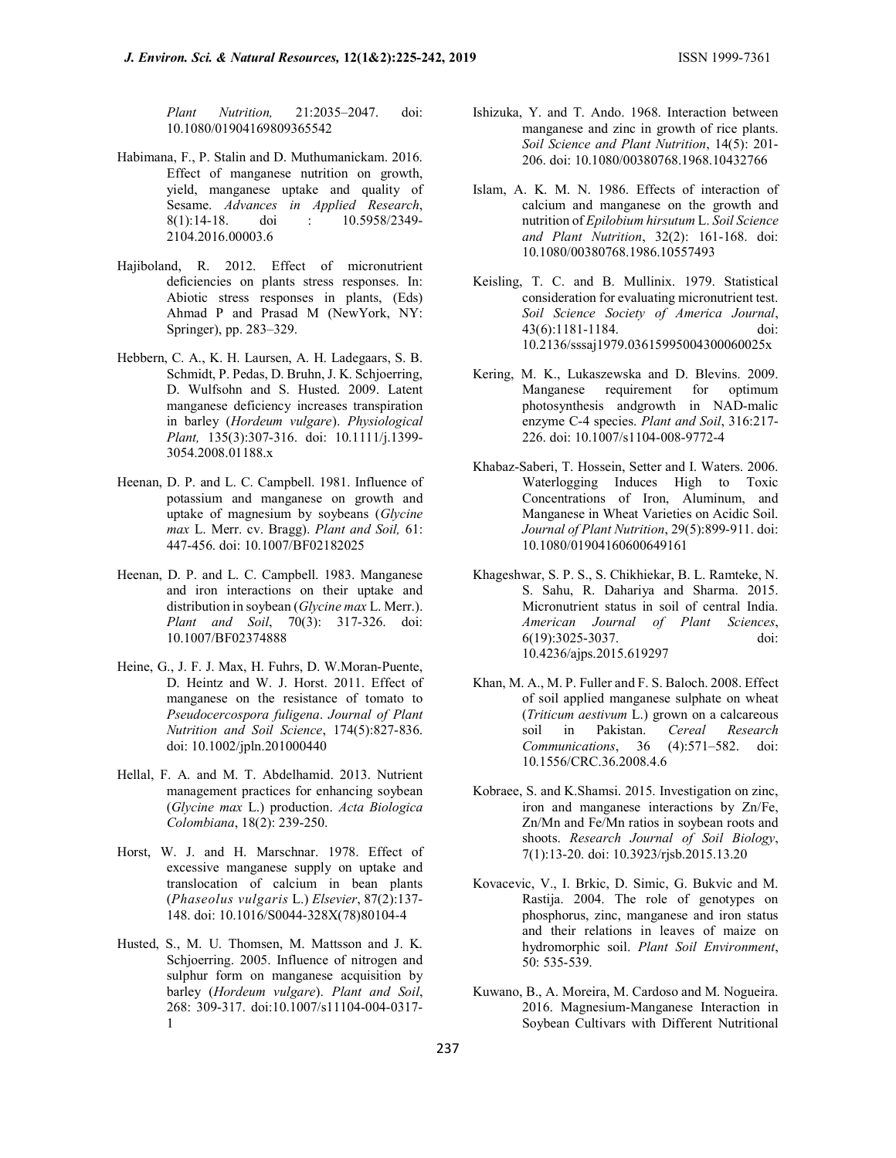Plant Nutrition, 21:2035–2047. doi: 10.1080/01904169809365542

- Habimana, F., P. Stalin and D. Muthumanickam. 2016. Effect of manganese nutrition on growth, yield, manganese uptake and quality of Sesame. Advances in Applied Research, 8(1):14-18. doi : 10.5958/2349- 2104.2016.00003.6
- Hajiboland, R. 2012. Effect of micronutrient deficiencies on plants stress responses. In: Abiotic stress responses in plants, (Eds) Ahmad P and Prasad M (NewYork, NY: Springer), pp. 283–329.
- Hebbern, C. A., K. H. Laursen, A. H. Ladegaars, S. B. Schmidt, P. Pedas, D. Bruhn, J. K. Schjoerring, D. Wulfsohn and S. Husted. 2009. Latent manganese deficiency increases transpiration in barley (Hordeum vulgare). Physiological Plant, 135(3):307-316. doi: 10.1111/j.1399- 3054.2008.01188.x
- Heenan, D. P. and L. C. Campbell. 1981. Influence of potassium and manganese on growth and uptake of magnesium by soybeans (Glycine max L. Merr. cv. Bragg). Plant and Soil, 61: 447-456. doi: 10.1007/BF02182025
- Heenan, D. P. and L. C. Campbell. 1983. Manganese and iron interactions on their uptake and distribution in soybean (*Glycine max L. Merr.*). Plant and Soil, 70(3): 317-326. doi: 10.1007/BF02374888
- Heine, G., J. F. J. Max, H. Fuhrs, D. W.Moran-Puente, D. Heintz and W. J. Horst. 2011. Effect of manganese on the resistance of tomato to Pseudocercospora fuligena. Journal of Plant Nutrition and Soil Science, 174(5):827-836. doi: 10.1002/jpln.201000440
- Hellal, F. A. and M. T. Abdelhamid. 2013. Nutrient management practices for enhancing soybean (Glycine max L.) production. Acta Biologica Colombiana, 18(2): 239-250.
- Horst, W. J. and H. Marschnar. 1978. Effect of excessive manganese supply on uptake and translocation of calcium in bean plants (Phaseolus vulgaris L.) Elsevier, 87(2):137- 148. doi: 10.1016/S0044-328X(78)80104-4
- Husted, S., M. U. Thomsen, M. Mattsson and J. K. Schjoerring. 2005. Influence of nitrogen and sulphur form on manganese acquisition by barley (Hordeum vulgare). Plant and Soil, 268: 309-317. doi:10.1007/s11104-004-0317- 1
- Ishizuka, Y. and T. Ando. 1968. Interaction between manganese and zinc in growth of rice plants. Soil Science and Plant Nutrition, 14(5): 201-206. doi: 10.1080/00380768.1968.10432766
- Islam, A. K. M. N. 1986. Effects of interaction of calcium and manganese on the growth and nutrition of Epilobium hirsutum L. Soil Science and Plant Nutrition, 32(2): 161-168. doi: 10.1080/00380768.1986.10557493
- Keisling, T. C. and B. Mullinix. 1979. Statistical consideration for evaluating micronutrient test. Soil Science Society of America Journal, 43(6):1181-1184. doi: 10.2136/sssaj1979.03615995004300060025x
- Kering, M. K., Lukaszewska and D. Blevins. 2009. Manganese requirement for optimum photosynthesis andgrowth in NAD-malic enzyme C-4 species. Plant and Soil, 316:217- 226. doi: 10.1007/s1104-008-9772-4
- Khabaz-Saberi, T. Hossein, Setter and I. Waters. 2006. Waterlogging Induces High to Toxic Concentrations of Iron, Aluminum, and Manganese in Wheat Varieties on Acidic Soil. Journal of Plant Nutrition, 29(5):899-911. doi: 10.1080/01904160600649161
- Khageshwar, S. P. S., S. Chikhiekar, B. L. Ramteke, N. S. Sahu, R. Dahariya and Sharma. 2015. Micronutrient status in soil of central India. American Journal of Plant Sciences, 6(19):3025-3037. doi: 10.4236/ajps.2015.619297
- Khan, M. A., M. P. Fuller and F. S. Baloch. 2008. Effect of soil applied manganese sulphate on wheat (Triticum aestivum L.) grown on a calcareous soil in Pakistan. Cereal Research Communications, 36 (4):571–582. doi: 10.1556/CRC.36.2008.4.6
- Kobraee, S. and K.Shamsi. 2015. Investigation on zinc, iron and manganese interactions by Zn/Fe, Zn/Mn and Fe/Mn ratios in soybean roots and shoots. Research Journal of Soil Biology, 7(1):13-20. doi: 10.3923/rjsb.2015.13.20
- Kovacevic, V., I. Brkic, D. Simic, G. Bukvic and M. Rastija. 2004. The role of genotypes on phosphorus, zinc, manganese and iron status and their relations in leaves of maize on hydromorphic soil. Plant Soil Environment, 50: 535-539.
- Kuwano, B., A. Moreira, M. Cardoso and M. Nogueira. 2016. Magnesium-Manganese Interaction in Soybean Cultivars with Different Nutritional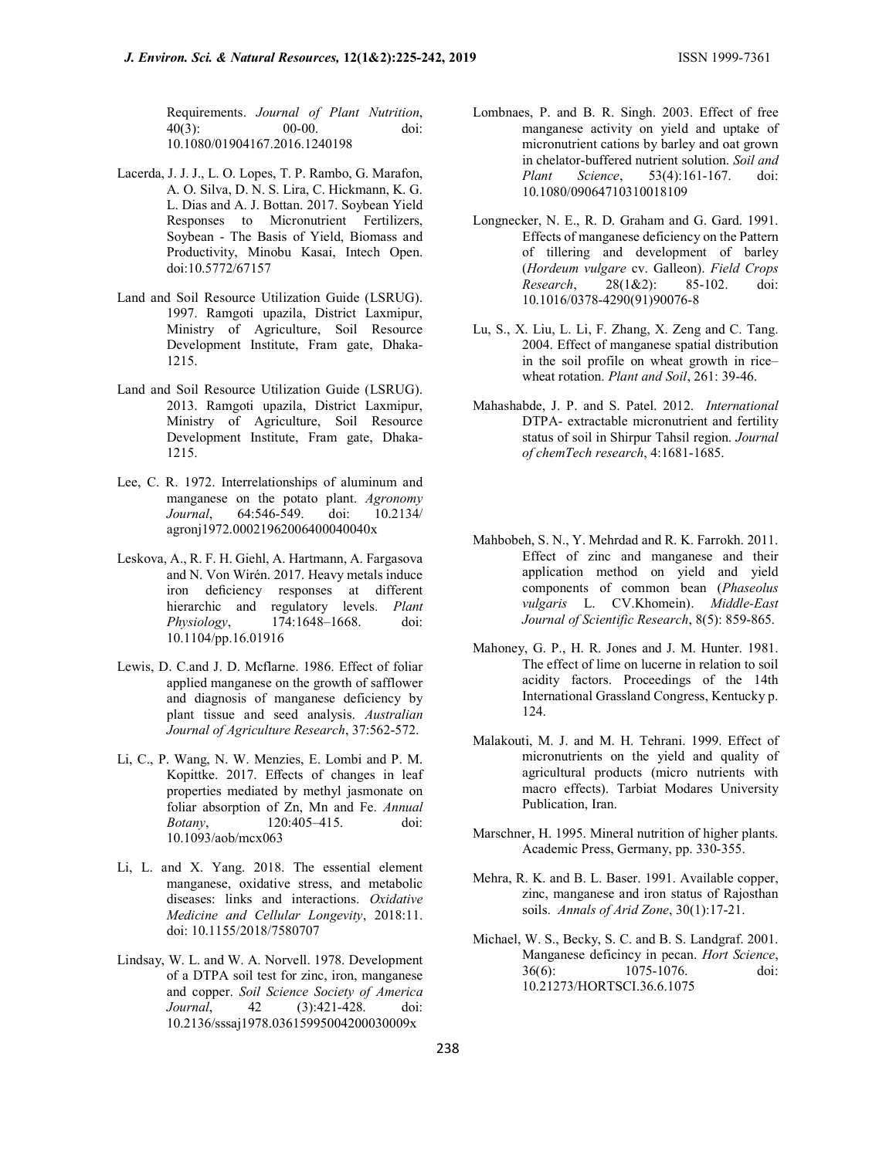Requirements. Journal of Plant Nutrition, 40(3): 00-00. doi: 10.1080/01904167.2016.1240198

- Lacerda, J. J. J., L. O. Lopes, T. P. Rambo, G. Marafon, A. O. Silva, D. N. S. Lira, C. Hickmann, K. G. L. Dias and A. J. Bottan. 2017. Soybean Yield Responses to Micronutrient Fertilizers, Soybean - The Basis of Yield, Biomass and Productivity, Minobu Kasai, Intech Open. doi:10.5772/67157
- Land and Soil Resource Utilization Guide (LSRUG). 1997. Ramgoti upazila, District Laxmipur, Ministry of Agriculture, Soil Resource Development Institute, Fram gate, Dhaka-1215.
- Land and Soil Resource Utilization Guide (LSRUG). 2013. Ramgoti upazila, District Laxmipur, Ministry of Agriculture, Soil Resource Development Institute, Fram gate, Dhaka-1215.
- Lee, C. R. 1972. Interrelationships of aluminum and manganese on the potato plant. Agronomy Journal, 64:546-549. doi: 10.2134/ agronj1972.00021962006400040040x
- Leskova, A., R. F. H. Giehl, A. Hartmann, A. Fargasova and N. Von Wirén. 2017. Heavy metals induce iron deficiency responses at different hierarchic and regulatory levels. Plant Physiology, 174:1648–1668. doi: 10.1104/pp.16.01916
- Lewis, D. C.and J. D. Mcflarne. 1986. Effect of foliar applied manganese on the growth of safflower and diagnosis of manganese deficiency by plant tissue and seed analysis. Australian Journal of Agriculture Research, 37:562-572.
- Li, C., P. Wang, N. W. Menzies, E. Lombi and P. M. Kopittke. 2017. Effects of changes in leaf properties mediated by methyl jasmonate on foliar absorption of Zn, Mn and Fe. Annual Botany, 120:405–415. doi: 10.1093/aob/mcx063
- Li, L. and X. Yang. 2018. The essential element manganese, oxidative stress, and metabolic diseases: links and interactions. Oxidative Medicine and Cellular Longevity, 2018:11. doi: 10.1155/2018/7580707
- Lindsay, W. L. and W. A. Norvell. 1978. Development of a DTPA soil test for zinc, iron, manganese and copper. Soil Science Society of America Journal, 42 (3):421-428. doi: 10.2136/sssaj1978.03615995004200030009x
- Lombnaes, P. and B. R. Singh. 2003. Effect of free manganese activity on yield and uptake of micronutrient cations by barley and oat grown in chelator-buffered nutrient solution. Soil and Plant Science, 53(4):161-167. doi: 10.1080/09064710310018109
- Longnecker, N. E., R. D. Graham and G. Gard. 1991. Effects of manganese deficiency on the Pattern of tillering and development of barley (Hordeum vulgare cv. Galleon). Field Crops<br>Research. 28(1&2): 85-102. doi: Research, 28(1&2): 85-102. doi: 10.1016/0378-4290(91)90076-8
- Lu, S., X. Liu, L. Li, F. Zhang, X. Zeng and C. Tang. 2004. Effect of manganese spatial distribution in the soil profile on wheat growth in rice– wheat rotation. Plant and Soil, 261: 39-46.
- Mahashabde, J. P. and S. Patel. 2012. International DTPA- extractable micronutrient and fertility status of soil in Shirpur Tahsil region. Journal of chemTech research, 4:1681-1685.
- Mahbobeh, S. N., Y. Mehrdad and R. K. Farrokh. 2011. Effect of zinc and manganese and their application method on yield and yield components of common bean (Phaseolus vulgaris L. CV.Khomein). Middle-East Journal of Scientific Research, 8(5): 859-865.
- Mahoney, G. P., H. R. Jones and J. M. Hunter. 1981. The effect of lime on lucerne in relation to soil acidity factors. Proceedings of the 14th International Grassland Congress, Kentucky p. 124.
- Malakouti, M. J. and M. H. Tehrani. 1999. Effect of micronutrients on the yield and quality of agricultural products (micro nutrients with macro effects). Tarbiat Modares University Publication, Iran.
- Marschner, H. 1995. Mineral nutrition of higher plants. Academic Press, Germany, pp. 330-355.
- Mehra, R. K. and B. L. Baser. 1991. Available copper, zinc, manganese and iron status of Rajosthan soils. Annals of Arid Zone, 30(1):17-21.
- Michael, W. S., Becky, S. C. and B. S. Landgraf. 2001. Manganese deficincy in pecan. Hort Science, 36(6): 1075-1076. doi: 10.21273/HORTSCI.36.6.1075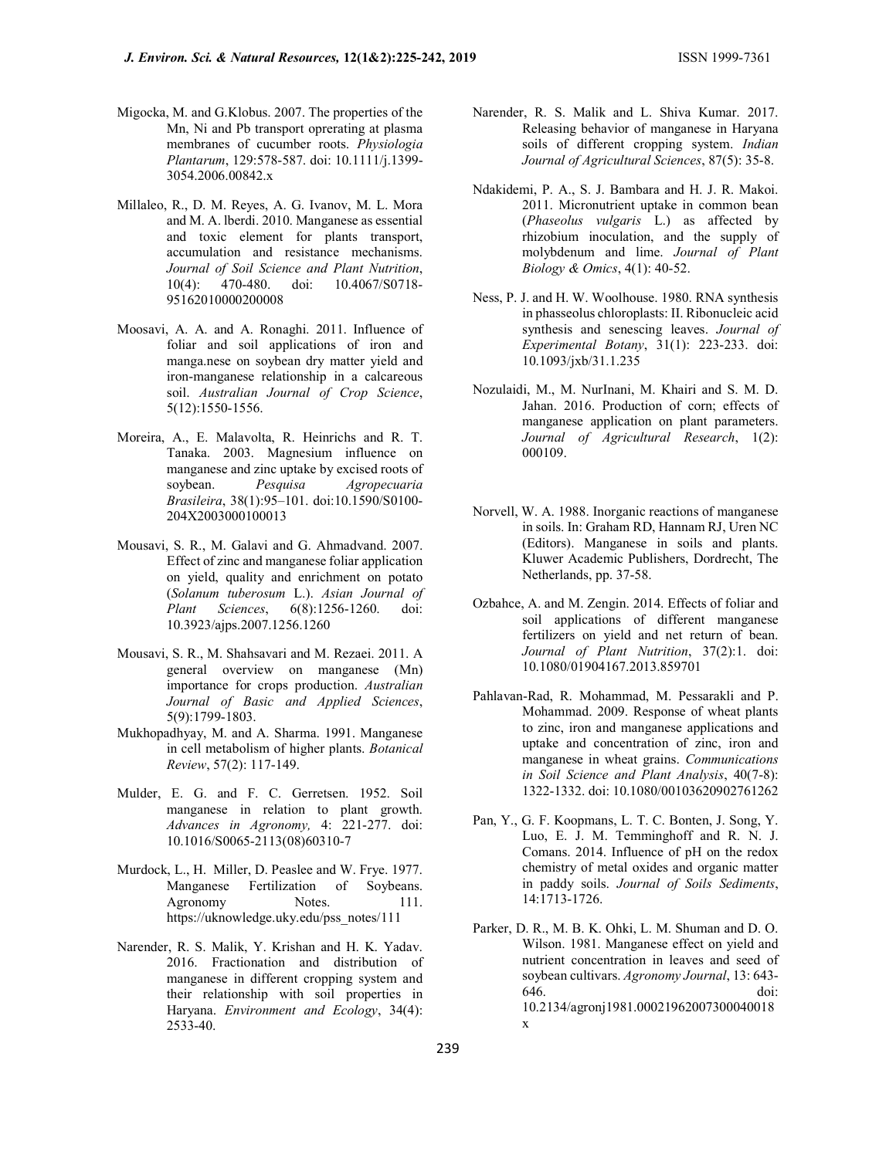- Migocka, M. and G.Klobus. 2007. The properties of the Mn, Ni and Pb transport oprerating at plasma membranes of cucumber roots. Physiologia Plantarum, 129:578-587. doi: 10.1111/j.1399- 3054.2006.00842.x
- Millaleo, R., D. M. Reyes, A. G. Ivanov, M. L. Mora and M. A. lberdi. 2010. Manganese as essential and toxic element for plants transport, accumulation and resistance mechanisms. Journal of Soil Science and Plant Nutrition, 10(4): 470-480. doi: 10.4067/S0718- 95162010000200008
- Moosavi, A. A. and A. Ronaghi. 2011. Influence of foliar and soil applications of iron and manga.nese on soybean dry matter yield and iron-manganese relationship in a calcareous soil. Australian Journal of Crop Science, 5(12):1550-1556.
- Moreira, A., E. Malavolta, R. Heinrichs and R. T. Tanaka. 2003. Magnesium influence on manganese and zinc uptake by excised roots of soybean. Pesquisa Agropecuaria Brasileira, 38(1):95–101. doi:10.1590/S0100- 204X2003000100013
- Mousavi, S. R., M. Galavi and G. Ahmadvand. 2007. Effect of zinc and manganese foliar application on yield, quality and enrichment on potato (Solanum tuberosum L.). Asian Journal of Plant Sciences, 6(8):1256-1260. doi: 10.3923/ajps.2007.1256.1260
- Mousavi, S. R., M. Shahsavari and M. Rezaei. 2011. A general overview on manganese (Mn) importance for crops production. Australian Journal of Basic and Applied Sciences, 5(9):1799-1803.
- Mukhopadhyay, M. and A. Sharma. 1991. Manganese in cell metabolism of higher plants. Botanical Review, 57(2): 117-149.
- Mulder, E. G. and F. C. Gerretsen. 1952. Soil manganese in relation to plant growth. Advances in Agronomy, 4: 221-277. doi: 10.1016/S0065-2113(08)60310-7
- Murdock, L., H. Miller, D. Peaslee and W. Frye. 1977. Manganese Fertilization of Soybeans. Agronomy Notes. 111. https://uknowledge.uky.edu/pss\_notes/111
- Narender, R. S. Malik, Y. Krishan and H. K. Yadav. 2016. Fractionation and distribution of manganese in different cropping system and their relationship with soil properties in Haryana. Environment and Ecology, 34(4): 2533-40.
- Narender, R. S. Malik and L. Shiva Kumar. 2017. Releasing behavior of manganese in Haryana soils of different cropping system. Indian Journal of Agricultural Sciences, 87(5): 35-8.
- Ndakidemi, P. A., S. J. Bambara and H. J. R. Makoi. 2011. Micronutrient uptake in common bean (Phaseolus vulgaris L.) as affected by rhizobium inoculation, and the supply of molybdenum and lime. Journal of Plant Biology & Omics, 4(1): 40-52.
- Ness, P. J. and H. W. Woolhouse. 1980. RNA synthesis in phasseolus chloroplasts: II. Ribonucleic acid synthesis and senescing leaves. Journal of Experimental Botany, 31(1): 223-233. doi: 10.1093/jxb/31.1.235
- Nozulaidi, M., M. NurInani, M. Khairi and S. M. D. Jahan. 2016. Production of corn; effects of manganese application on plant parameters. Journal of Agricultural Research, 1(2): 000109.
- Norvell, W. A. 1988. Inorganic reactions of manganese in soils. In: Graham RD, Hannam RJ, Uren NC (Editors). Manganese in soils and plants. Kluwer Academic Publishers, Dordrecht, The Netherlands, pp. 37-58.
- Ozbahce, A. and M. Zengin. 2014. Effects of foliar and soil applications of different manganese fertilizers on yield and net return of bean. Journal of Plant Nutrition, 37(2):1. doi: 10.1080/01904167.2013.859701
- Pahlavan-Rad, R. Mohammad, M. Pessarakli and P. Mohammad. 2009. Response of wheat plants to zinc, iron and manganese applications and uptake and concentration of zinc, iron and manganese in wheat grains. Communications in Soil Science and Plant Analysis, 40(7-8): 1322-1332. doi: 10.1080/00103620902761262
- Pan, Y., G. F. Koopmans, L. T. C. Bonten, J. Song, Y. Luo, E. J. M. Temminghoff and R. N. J. Comans. 2014. Influence of pH on the redox chemistry of metal oxides and organic matter in paddy soils. Journal of Soils Sediments, 14:1713-1726.
- Parker, D. R., M. B. K. Ohki, L. M. Shuman and D. O. Wilson. 1981. Manganese effect on yield and nutrient concentration in leaves and seed of soybean cultivars. Agronomy Journal, 13: 643- 646. doi: 10.2134/agronj1981.00021962007300040018 x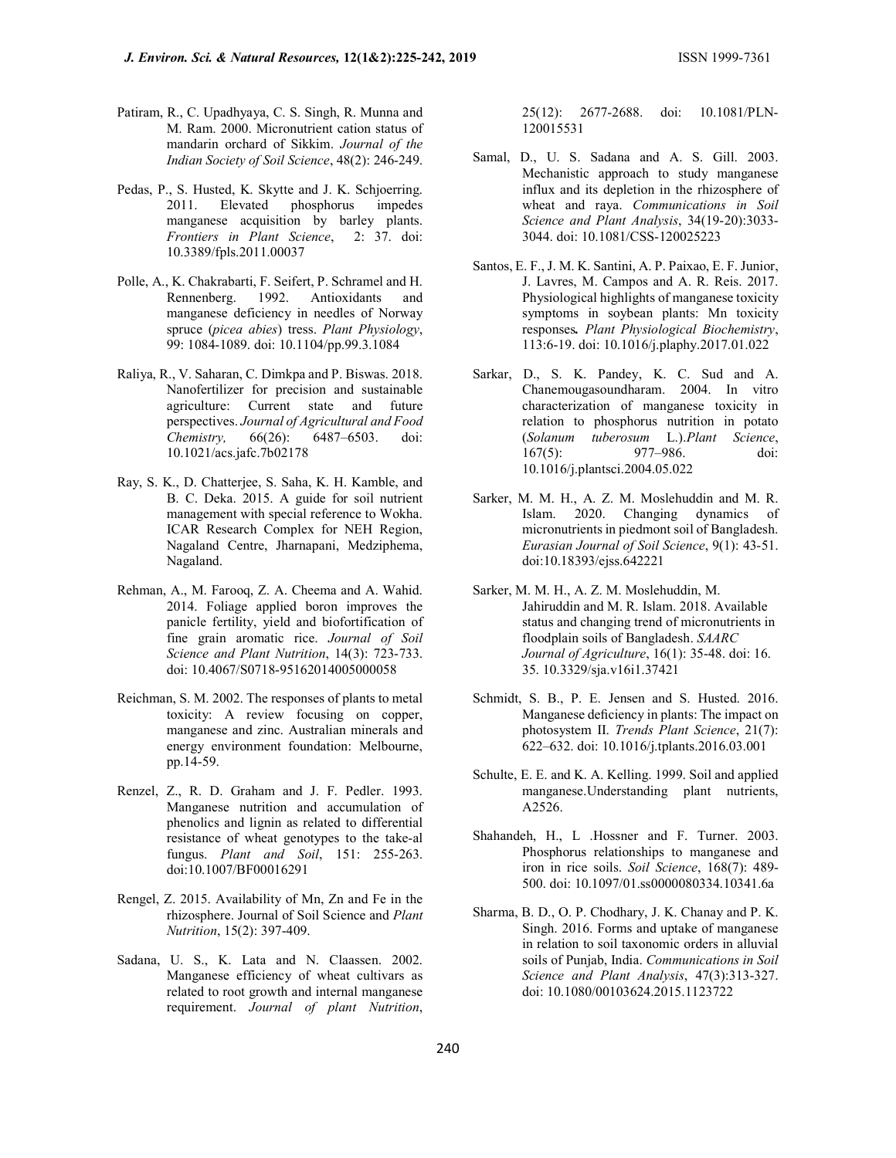- Patiram, R., C. Upadhyaya, C. S. Singh, R. Munna and M. Ram. 2000. Micronutrient cation status of mandarin orchard of Sikkim. Journal of the Indian Society of Soil Science, 48(2): 246-249.
- Pedas, P., S. Husted, K. Skytte and J. K. Schjoerring. 2011. Elevated phosphorus impedes manganese acquisition by barley plants. Frontiers in Plant Science, 2: 37. doi: 10.3389/fpls.2011.00037
- Polle, A., K. Chakrabarti, F. Seifert, P. Schramel and H. Rennenberg. 1992. Antioxidants and manganese deficiency in needles of Norway spruce (picea abies) tress. Plant Physiology, 99: 1084-1089. doi: 10.1104/pp.99.3.1084
- Raliya, R., V. Saharan, C. Dimkpa and P. Biswas. 2018. Nanofertilizer for precision and sustainable agriculture: Current state and future perspectives. Journal of Agricultural and Food Chemistry, 66(26): 6487–6503. doi: 10.1021/acs.jafc.7b02178
- Ray, S. K., D. Chatterjee, S. Saha, K. H. Kamble, and B. C. Deka. 2015. A guide for soil nutrient management with special reference to Wokha. ICAR Research Complex for NEH Region, Nagaland Centre, Jharnapani, Medziphema, Nagaland.
- Rehman, A., M. Farooq, Z. A. Cheema and A. Wahid. 2014. Foliage applied boron improves the panicle fertility, yield and biofortification of fine grain aromatic rice. Journal of Soil Science and Plant Nutrition, 14(3): 723-733. doi: 10.4067/S0718-95162014005000058
- Reichman, S. M. 2002. The responses of plants to metal toxicity: A review focusing on copper, manganese and zinc. Australian minerals and energy environment foundation: Melbourne, pp.14-59.
- Renzel, Z., R. D. Graham and J. F. Pedler. 1993. Manganese nutrition and accumulation of phenolics and lignin as related to differential resistance of wheat genotypes to the take-al fungus. Plant and Soil, 151: 255-263. doi:10.1007/BF00016291
- Rengel, Z. 2015. Availability of Mn, Zn and Fe in the rhizosphere. Journal of Soil Science and Plant Nutrition, 15(2): 397-409.
- Sadana, U. S., K. Lata and N. Claassen. 2002. Manganese efficiency of wheat cultivars as related to root growth and internal manganese requirement. Journal of plant Nutrition,

25(12): 2677-2688. doi: 10.1081/PLN-120015531

- Samal, D., U. S. Sadana and A. S. Gill. 2003. Mechanistic approach to study manganese influx and its depletion in the rhizosphere of wheat and raya. Communications in Soil Science and Plant Analysis, 34(19-20):3033- 3044. doi: 10.1081/CSS-120025223
- Santos, E. F., J. M. K. Santini, A. P. Paixao, E. F. Junior, J. Lavres, M. Campos and A. R. Reis. 2017. Physiological highlights of manganese toxicity symptoms in soybean plants: Mn toxicity responses. Plant Physiological Biochemistry, 113:6-19. doi: 10.1016/j.plaphy.2017.01.022
- Sarkar, D., S. K. Pandey, K. C. Sud and A. Chanemougasoundharam. 2004. In vitro characterization of manganese toxicity in relation to phosphorus nutrition in potato (Solanum tuberosum L.).Plant Science, 167(5): 977–986. doi: 10.1016/j.plantsci.2004.05.022
- Sarker, M. M. H., A. Z. M. Moslehuddin and M. R. Islam. 2020. Changing dynamics of micronutrients in piedmont soil of Bangladesh. Eurasian Journal of Soil Science, 9(1): 43-51. doi:10.18393/ejss.642221
- Sarker, M. M. H., A. Z. M. Moslehuddin, M. Jahiruddin and M. R. Islam. 2018. Available status and changing trend of micronutrients in floodplain soils of Bangladesh. SAARC Journal of Agriculture, 16(1): 35-48. doi: 16. 35. 10.3329/sja.v16i1.37421
- Schmidt, S. B., P. E. Jensen and S. Husted. 2016. Manganese deficiency in plants: The impact on photosystem II. Trends Plant Science, 21(7): 622–632. doi: 10.1016/j.tplants.2016.03.001
- Schulte, E. E. and K. A. Kelling. 1999. Soil and applied manganese.Understanding plant nutrients, A2526.
- Shahandeh, H., L .Hossner and F. Turner. 2003. Phosphorus relationships to manganese and iron in rice soils. Soil Science, 168(7): 489- 500. doi: 10.1097/01.ss0000080334.10341.6a
- Sharma, B. D., O. P. Chodhary, J. K. Chanay and P. K. Singh. 2016. Forms and uptake of manganese in relation to soil taxonomic orders in alluvial soils of Punjab, India. Communications in Soil Science and Plant Analysis, 47(3):313-327. doi: 10.1080/00103624.2015.1123722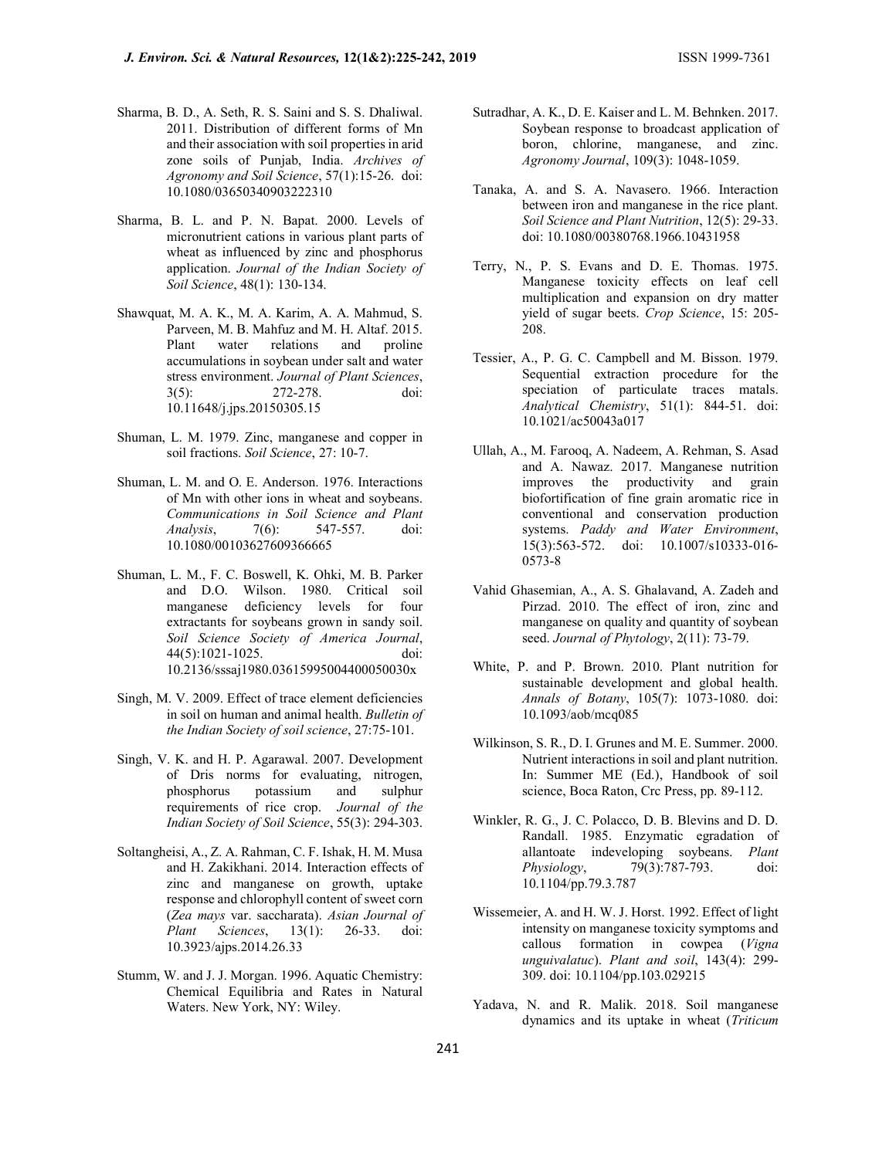- Sharma, B. D., A. Seth, R. S. Saini and S. S. Dhaliwal. 2011. Distribution of different forms of Mn and their association with soil properties in arid zone soils of Punjab, India. Archives of Agronomy and Soil Science, 57(1):15-26. doi: 10.1080/03650340903222310
- Sharma, B. L. and P. N. Bapat. 2000. Levels of micronutrient cations in various plant parts of wheat as influenced by zinc and phosphorus application. Journal of the Indian Society of Soil Science, 48(1): 130-134.
- Shawquat, M. A. K., M. A. Karim, A. A. Mahmud, S. Parveen, M. B. Mahfuz and M. H. Altaf. 2015. Plant water relations and proline accumulations in soybean under salt and water stress environment. Journal of Plant Sciences, 3(5): 272-278. doi: 10.11648/j.jps.20150305.15
- Shuman, L. M. 1979. Zinc, manganese and copper in soil fractions. Soil Science, 27: 10-7.
- Shuman, L. M. and O. E. Anderson. 1976. Interactions of Mn with other ions in wheat and soybeans. Communications in Soil Science and Plant Analysis, 7(6): 547-557. doi: 10.1080/00103627609366665
- Shuman, L. M., F. C. Boswell, K. Ohki, M. B. Parker and D.O. Wilson. 1980. Critical soil manganese deficiency levels for four extractants for soybeans grown in sandy soil. Soil Science Society of America Journal, 44(5):1021-1025. doi: 10.2136/sssaj1980.03615995004400050030x
- Singh, M. V. 2009. Effect of trace element deficiencies in soil on human and animal health. Bulletin of the Indian Society of soil science, 27:75-101.
- Singh, V. K. and H. P. Agarawal. 2007. Development of Dris norms for evaluating, nitrogen, phosphorus potassium and sulphur requirements of rice crop. Journal of the Indian Society of Soil Science, 55(3): 294-303.
- Soltangheisi, A., Z. A. Rahman, C. F. Ishak, H. M. Musa and H. Zakikhani. 2014. Interaction effects of zinc and manganese on growth, uptake response and chlorophyll content of sweet corn (Zea mays var. saccharata). Asian Journal of Plant Sciences, 13(1): 26-33. doi: 10.3923/ajps.2014.26.33
- Stumm, W. and J. J. Morgan. 1996. Aquatic Chemistry: Chemical Equilibria and Rates in Natural Waters. New York, NY: Wiley.
- Sutradhar, A. K., D. E. Kaiser and L. M. Behnken. 2017. Soybean response to broadcast application of boron, chlorine, manganese, and zinc. Agronomy Journal, 109(3): 1048-1059.
- Tanaka, A. and S. A. Navasero. 1966. Interaction between iron and manganese in the rice plant. Soil Science and Plant Nutrition, 12(5): 29-33. doi: 10.1080/00380768.1966.10431958
- Terry, N., P. S. Evans and D. E. Thomas. 1975. Manganese toxicity effects on leaf cell multiplication and expansion on dry matter yield of sugar beets. Crop Science, 15: 205- 208.
- Tessier, A., P. G. C. Campbell and M. Bisson. 1979. Sequential extraction procedure for the speciation of particulate traces matals. Analytical Chemistry, 51(1): 844-51. doi: 10.1021/ac50043a017
- Ullah, A., M. Farooq, A. Nadeem, A. Rehman, S. Asad and A. Nawaz. 2017. Manganese nutrition improves the productivity and grain biofortification of fine grain aromatic rice in conventional and conservation production systems. Paddy and Water Environment, 15(3):563-572. doi: 10.1007/s10333-016- 0573-8
- Vahid Ghasemian, A., A. S. Ghalavand, A. Zadeh and Pirzad. 2010. The effect of iron, zinc and manganese on quality and quantity of soybean seed. Journal of Phytology, 2(11): 73-79.
- White, P. and P. Brown. 2010. Plant nutrition for sustainable development and global health. Annals of Botany, 105(7): 1073-1080. doi: 10.1093/aob/mcq085
- Wilkinson, S. R., D. I. Grunes and M. E. Summer. 2000. Nutrient interactions in soil and plant nutrition. In: Summer ME (Ed.), Handbook of soil science, Boca Raton, Crc Press, pp. 89-112.
- Winkler, R. G., J. C. Polacco, D. B. Blevins and D. D. Randall. 1985. Enzymatic egradation of allantoate indeveloping soybeans. Plant Physiology, 79(3):787-793. doi: 10.1104/pp.79.3.787
- Wissemeier, A. and H. W. J. Horst. 1992. Effect of light intensity on manganese toxicity symptoms and callous formation in cowpea (Vigna unguivalatuc). Plant and soil, 143(4): 299- 309. doi: 10.1104/pp.103.029215
- Yadava, N. and R. Malik. 2018. Soil manganese dynamics and its uptake in wheat (Triticum